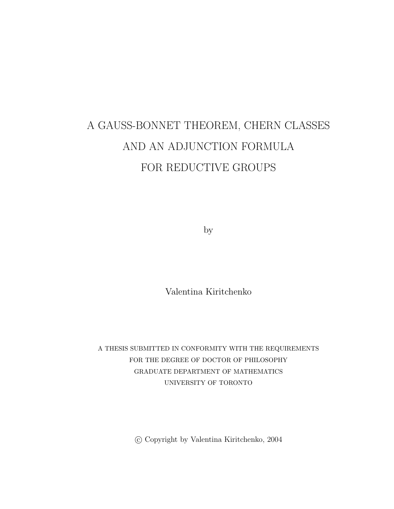# A GAUSS-BONNET THEOREM, CHERN CLASSES AND AN ADJUNCTION FORMULA FOR REDUCTIVE GROUPS

by

Valentina Kiritchenko

A THESIS SUBMITTED IN CONFORMITY WITH THE REQUIREMENTS FOR THE DEGREE OF DOCTOR OF PHILOSOPHY GRADUATE DEPARTMENT OF MATHEMATICS UNIVERSITY OF TORONTO

°c Copyright by Valentina Kiritchenko, 2004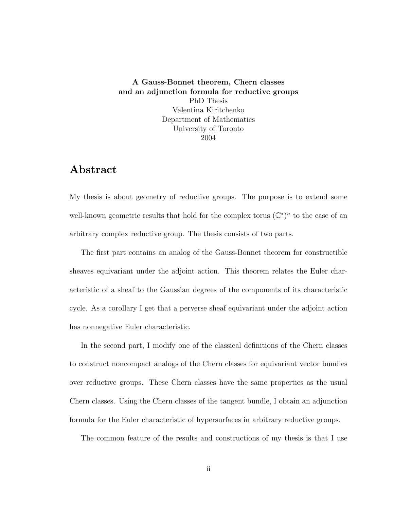A Gauss-Bonnet theorem, Chern classes and an adjunction formula for reductive groups PhD Thesis Valentina Kiritchenko Department of Mathematics University of Toronto 2004

### Abstract

My thesis is about geometry of reductive groups. The purpose is to extend some well-known geometric results that hold for the complex torus  $(\mathbb{C}^*)^n$  to the case of an arbitrary complex reductive group. The thesis consists of two parts.

The first part contains an analog of the Gauss-Bonnet theorem for constructible sheaves equivariant under the adjoint action. This theorem relates the Euler characteristic of a sheaf to the Gaussian degrees of the components of its characteristic cycle. As a corollary I get that a perverse sheaf equivariant under the adjoint action has nonnegative Euler characteristic.

In the second part, I modify one of the classical definitions of the Chern classes to construct noncompact analogs of the Chern classes for equivariant vector bundles over reductive groups. These Chern classes have the same properties as the usual Chern classes. Using the Chern classes of the tangent bundle, I obtain an adjunction formula for the Euler characteristic of hypersurfaces in arbitrary reductive groups.

The common feature of the results and constructions of my thesis is that I use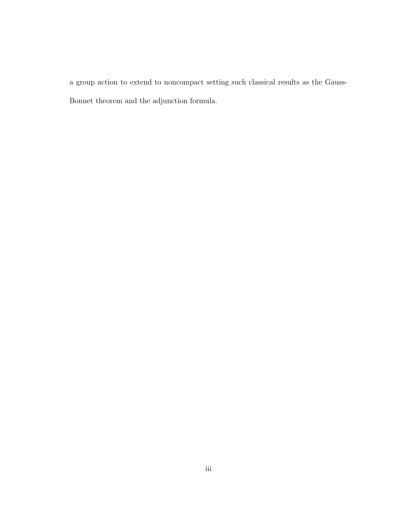a group action to extend to noncompact setting such classical results as the Gauss-Bonnet theorem and the adjunction formula.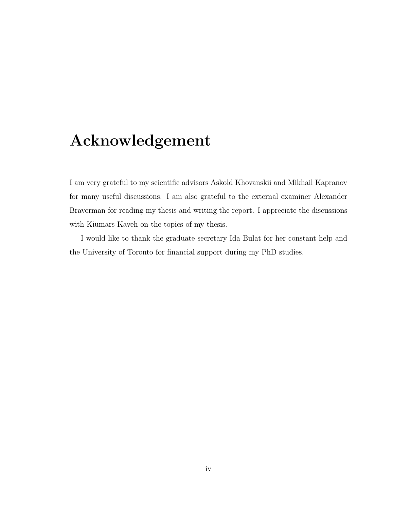# Acknowledgement

I am very grateful to my scientific advisors Askold Khovanskii and Mikhail Kapranov for many useful discussions. I am also grateful to the external examiner Alexander Braverman for reading my thesis and writing the report. I appreciate the discussions with Kiumars Kaveh on the topics of my thesis.

I would like to thank the graduate secretary Ida Bulat for her constant help and the University of Toronto for financial support during my PhD studies.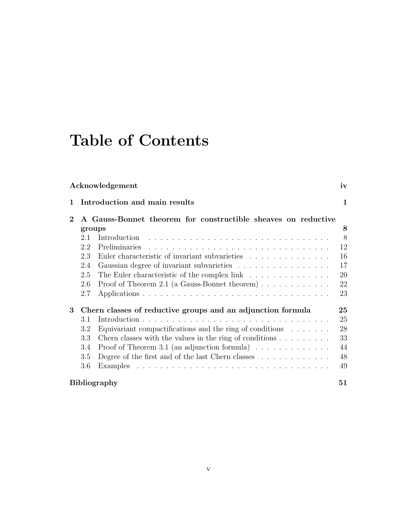# Table of Contents

| Acknowledgement |                                                               |                                                                                | iv |
|-----------------|---------------------------------------------------------------|--------------------------------------------------------------------------------|----|
| 1               |                                                               | Introduction and main results                                                  | 1  |
| $\mathbf 2$     | A Gauss-Bonnet theorem for constructible sheaves on reductive |                                                                                |    |
|                 | groups                                                        |                                                                                | 8  |
|                 | 2.1                                                           | Introduction                                                                   | 8  |
|                 | 2.2                                                           | Preliminaries                                                                  | 12 |
|                 | 2.3                                                           | Euler characteristic of invariant subvarieties                                 | 16 |
|                 | 2.4                                                           |                                                                                | 17 |
|                 | 2.5                                                           | The Euler characteristic of the complex link $\ldots \ldots \ldots \ldots$     | 20 |
|                 | 2.6                                                           | Proof of Theorem 2.1 (a Gauss-Bonnet theorem) $\ldots \ldots \ldots \ldots$    | 22 |
|                 | 2.7                                                           |                                                                                | 23 |
| 3               | Chern classes of reductive groups and an adjunction formula   |                                                                                | 25 |
|                 | 3.1                                                           |                                                                                | 25 |
|                 | 3.2                                                           | Equivariant compactifications and the ring of conditions $\ldots \ldots$       | 28 |
|                 | 3.3                                                           | Chern classes with the values in the ring of conditions $\ldots \ldots \ldots$ | 33 |
|                 | 3.4                                                           | Proof of Theorem 3.1 (an adjunction formula) $\dots \dots \dots \dots$         | 44 |
|                 | 3.5                                                           | Degree of the first and of the last Chern classes $\dots \dots \dots \dots$    | 48 |
|                 | 3.6                                                           |                                                                                | 49 |
|                 | <b>Bibliography</b><br>51                                     |                                                                                |    |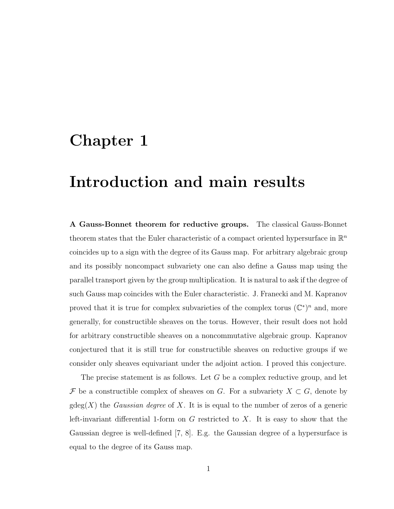# Chapter 1

# Introduction and main results

A Gauss-Bonnet theorem for reductive groups. The classical Gauss-Bonnet theorem states that the Euler characteristic of a compact oriented hypersurface in  $\mathbb{R}^n$ coincides up to a sign with the degree of its Gauss map. For arbitrary algebraic group and its possibly noncompact subvariety one can also define a Gauss map using the parallel transport given by the group multiplication. It is natural to ask if the degree of such Gauss map coincides with the Euler characteristic. J. Franecki and M. Kapranov proved that it is true for complex subvarieties of the complex torus  $(\mathbb{C}^*)^n$  and, more generally, for constructible sheaves on the torus. However, their result does not hold for arbitrary constructible sheaves on a noncommutative algebraic group. Kapranov conjectured that it is still true for constructible sheaves on reductive groups if we consider only sheaves equivariant under the adjoint action. I proved this conjecture.

The precise statement is as follows. Let G be a complex reductive group, and let F be a constructible complex of sheaves on G. For a subvariety  $X \subset G$ , denote by  $gdeg(X)$  the *Gaussian degree* of X. It is is equal to the number of zeros of a generic left-invariant differential 1-form on  $G$  restricted to  $X$ . It is easy to show that the Gaussian degree is well-defined [7, 8]. E.g. the Gaussian degree of a hypersurface is equal to the degree of its Gauss map.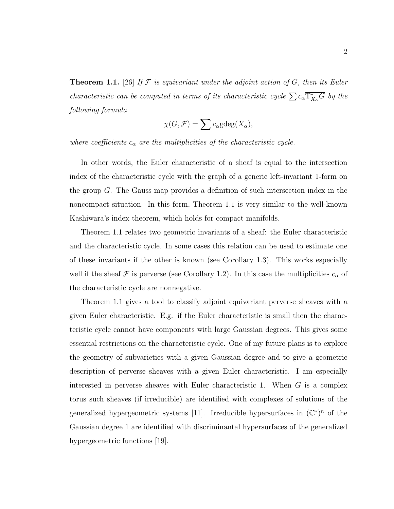**Theorem 1.1.** [26] If  $\mathcal F$  is equivariant under the adjoint action of  $G$ , then its Euler characteristic can be computed in terms of its characteristic cycle  $\sum c_{\alpha} \overline{\Gamma_{X_{\alpha}}^*G}$  by the following formula

$$
\chi(G, \mathcal{F}) = \sum c_{\alpha} \text{gdeg}(X_{\alpha}),
$$

where coefficients  $c_{\alpha}$  are the multiplicities of the characteristic cycle.

In other words, the Euler characteristic of a sheaf is equal to the intersection index of the characteristic cycle with the graph of a generic left-invariant 1-form on the group G. The Gauss map provides a definition of such intersection index in the noncompact situation. In this form, Theorem 1.1 is very similar to the well-known Kashiwara's index theorem, which holds for compact manifolds.

Theorem 1.1 relates two geometric invariants of a sheaf: the Euler characteristic and the characteristic cycle. In some cases this relation can be used to estimate one of these invariants if the other is known (see Corollary 1.3). This works especially well if the sheaf  $\mathcal F$  is perverse (see Corollary 1.2). In this case the multiplicities  $c_{\alpha}$  of the characteristic cycle are nonnegative.

Theorem 1.1 gives a tool to classify adjoint equivariant perverse sheaves with a given Euler characteristic. E.g. if the Euler characteristic is small then the characteristic cycle cannot have components with large Gaussian degrees. This gives some essential restrictions on the characteristic cycle. One of my future plans is to explore the geometry of subvarieties with a given Gaussian degree and to give a geometric description of perverse sheaves with a given Euler characteristic. I am especially interested in perverse sheaves with Euler characteristic 1. When G is a complex torus such sheaves (if irreducible) are identified with complexes of solutions of the generalized hypergeometric systems [11]. Irreducible hypersurfaces in  $(\mathbb{C}^*)^n$  of the Gaussian degree 1 are identified with discriminantal hypersurfaces of the generalized hypergeometric functions [19].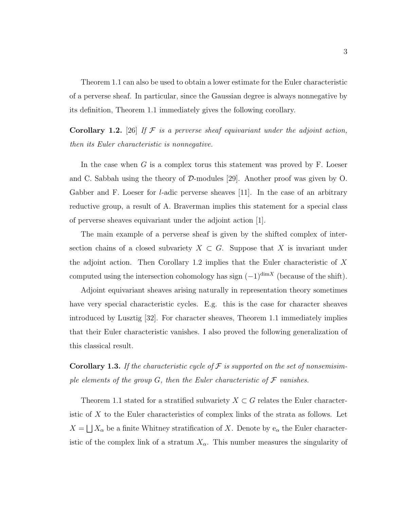Theorem 1.1 can also be used to obtain a lower estimate for the Euler characteristic of a perverse sheaf. In particular, since the Gaussian degree is always nonnegative by its definition, Theorem 1.1 immediately gives the following corollary.

**Corollary 1.2.** [26] If  $F$  is a perverse sheaf equivariant under the adjoint action, then its Euler characteristic is nonnegative.

In the case when  $G$  is a complex torus this statement was proved by  $F$ . Loeser and C. Sabbah using the theory of  $\mathcal{D}$ -modules [29]. Another proof was given by O. Gabber and F. Loeser for *l*-adic perverse sheaves [11]. In the case of an arbitrary reductive group, a result of A. Braverman implies this statement for a special class of perverse sheaves equivariant under the adjoint action [1].

The main example of a perverse sheaf is given by the shifted complex of intersection chains of a closed subvariety  $X \subset G$ . Suppose that X is invariant under the adjoint action. Then Corollary  $1.2$  implies that the Euler characteristic of  $X$ computed using the intersection cohomology has sign  $(-1)^{\dim X}$  (because of the shift).

Adjoint equivariant sheaves arising naturally in representation theory sometimes have very special characteristic cycles. E.g. this is the case for character sheaves introduced by Lusztig [32]. For character sheaves, Theorem 1.1 immediately implies that their Euler characteristic vanishes. I also proved the following generalization of this classical result.

**Corollary 1.3.** If the characteristic cycle of  $\mathcal F$  is supported on the set of nonsemisimple elements of the group  $G$ , then the Euler characteristic of  $\mathcal F$  vanishes.

Theorem 1.1 stated for a stratified subvariety  $X \subset G$  relates the Euler characteristic of  $X$  to the Euler characteristics of complex links of the strata as follows. Let  $X =$ F  $X_{\alpha}$  be a finite Whitney stratification of X. Denote by  $e_{\alpha}$  the Euler characteristic of the complex link of a stratum  $X_{\alpha}$ . This number measures the singularity of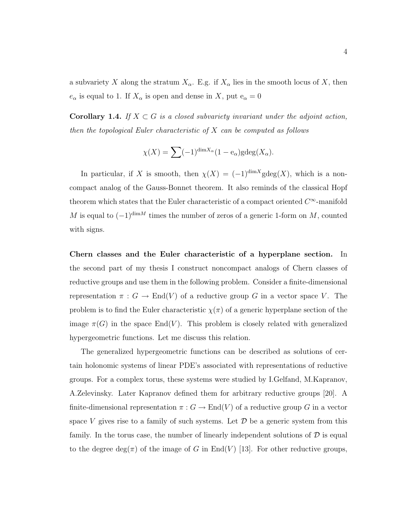a subvariety X along the stratum  $X_{\alpha}$ . E.g. if  $X_{\alpha}$  lies in the smooth locus of X, then  $e_{\alpha}$  is equal to 1. If  $X_{\alpha}$  is open and dense in X, put  $e_{\alpha} = 0$ 

**Corollary 1.4.** If  $X \subset G$  is a closed subvariety invariant under the adjoint action, then the topological Euler characteristic of  $X$  can be computed as follows

$$
\chi(X) = \sum (-1)^{\dim X_{\alpha}} (1 - e_{\alpha}) \text{gdeg}(X_{\alpha}).
$$

In particular, if X is smooth, then  $\chi(X) = (-1)^{\dim X}$ gdeg $(X)$ , which is a noncompact analog of the Gauss-Bonnet theorem. It also reminds of the classical Hopf theorem which states that the Euler characteristic of a compact oriented  $C^{\infty}$ -manifold M is equal to  $(-1)^{\dim M}$  times the number of zeros of a generic 1-form on M, counted with signs.

Chern classes and the Euler characteristic of a hyperplane section. In the second part of my thesis I construct noncompact analogs of Chern classes of reductive groups and use them in the following problem. Consider a finite-dimensional representation  $\pi : G \to \text{End}(V)$  of a reductive group G in a vector space V. The problem is to find the Euler characteristic  $\chi(\pi)$  of a generic hyperplane section of the image  $\pi(G)$  in the space End(V). This problem is closely related with generalized hypergeometric functions. Let me discuss this relation.

The generalized hypergeometric functions can be described as solutions of certain holonomic systems of linear PDE's associated with representations of reductive groups. For a complex torus, these systems were studied by I.Gelfand, M.Kapranov, A.Zelevinsky. Later Kapranov defined them for arbitrary reductive groups [20]. A finite-dimensional representation  $\pi : G \to \text{End}(V)$  of a reductive group G in a vector space V gives rise to a family of such systems. Let  $\mathcal D$  be a generic system from this family. In the torus case, the number of linearly independent solutions of  $D$  is equal to the degree deg( $\pi$ ) of the image of G in End(V) [13]. For other reductive groups,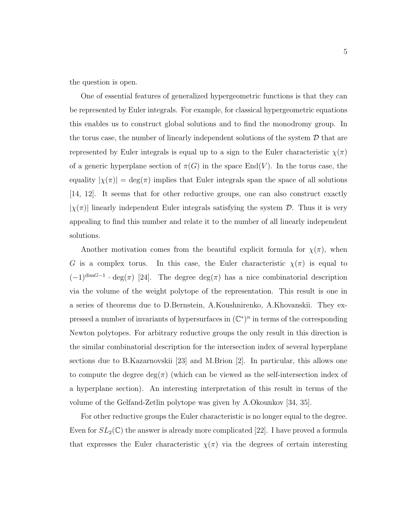the question is open.

One of essential features of generalized hypergeometric functions is that they can be represented by Euler integrals. For example, for classical hypergeometric equations this enables us to construct global solutions and to find the monodromy group. In the torus case, the number of linearly independent solutions of the system  $\mathcal D$  that are represented by Euler integrals is equal up to a sign to the Euler characteristic  $\chi(\pi)$ of a generic hyperplane section of  $\pi(G)$  in the space End(V). In the torus case, the equality  $|\chi(\pi)| = \deg(\pi)$  implies that Euler integrals span the space of all solutions [14, 12]. It seems that for other reductive groups, one can also construct exactly  $|\chi(\pi)|$  linearly independent Euler integrals satisfying the system  $\mathcal{D}$ . Thus it is very appealing to find this number and relate it to the number of all linearly independent solutions.

Another motivation comes from the beautiful explicit formula for  $\chi(\pi)$ , when G is a complex torus. In this case, the Euler characteristic  $\chi(\pi)$  is equal to  $(-1)^{\dim G-1} \cdot \deg(\pi)$  [24]. The degree  $\deg(\pi)$  has a nice combinatorial description via the volume of the weight polytope of the representation. This result is one in a series of theorems due to D.Bernstein, A.Koushnirenko, A.Khovanskii. They expressed a number of invariants of hypersurfaces in  $(\mathbb{C}^*)^n$  in terms of the corresponding Newton polytopes. For arbitrary reductive groups the only result in this direction is the similar combinatorial description for the intersection index of several hyperplane sections due to B.Kazarnovskii [23] and M.Brion [2]. In particular, this allows one to compute the degree  $deg(\pi)$  (which can be viewed as the self-intersection index of a hyperplane section). An interesting interpretation of this result in terms of the volume of the Gelfand-Zetlin polytope was given by A.Okounkov [34, 35].

For other reductive groups the Euler characteristic is no longer equal to the degree. Even for  $SL_2(\mathbb{C})$  the answer is already more complicated [22]. I have proved a formula that expresses the Euler characteristic  $\chi(\pi)$  via the degrees of certain interesting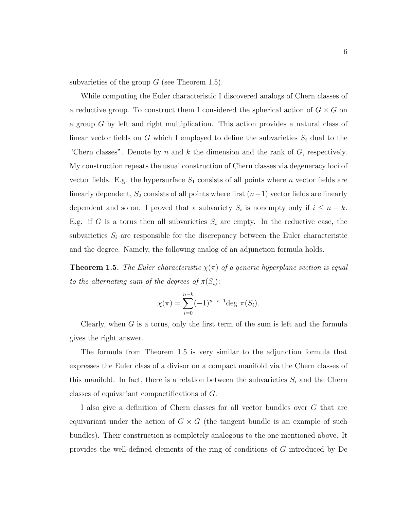subvarieties of the group  $G$  (see Theorem 1.5).

While computing the Euler characteristic I discovered analogs of Chern classes of a reductive group. To construct them I considered the spherical action of  $G \times G$  on a group G by left and right multiplication. This action provides a natural class of linear vector fields on  $G$  which I employed to define the subvarieties  $S_i$  dual to the "Chern classes". Denote by n and k the dimension and the rank of  $G$ , respectively. My construction repeats the usual construction of Chern classes via degeneracy loci of vector fields. E.g. the hypersurface  $S_1$  consists of all points where n vector fields are linearly dependent,  $S_2$  consists of all points where first  $(n-1)$  vector fields are linearly dependent and so on. I proved that a subvariety  $S_i$  is nonempty only if  $i \leq n - k$ . E.g. if G is a torus then all subvarieties  $S_i$  are empty. In the reductive case, the subvarieties  $S_i$  are responsible for the discrepancy between the Euler characteristic and the degree. Namely, the following analog of an adjunction formula holds.

**Theorem 1.5.** The Euler characteristic  $\chi(\pi)$  of a generic hyperplane section is equal to the alternating sum of the degrees of  $\pi(S_i)$ :

$$
\chi(\pi) = \sum_{i=0}^{n-k} (-1)^{n-i-1} \deg \pi(S_i).
$$

Clearly, when G is a torus, only the first term of the sum is left and the formula gives the right answer.

The formula from Theorem 1.5 is very similar to the adjunction formula that expresses the Euler class of a divisor on a compact manifold via the Chern classes of this manifold. In fact, there is a relation between the subvarieties  $S_i$  and the Chern classes of equivariant compactifications of G.

I also give a definition of Chern classes for all vector bundles over G that are equivariant under the action of  $G \times G$  (the tangent bundle is an example of such bundles). Their construction is completely analogous to the one mentioned above. It provides the well-defined elements of the ring of conditions of G introduced by De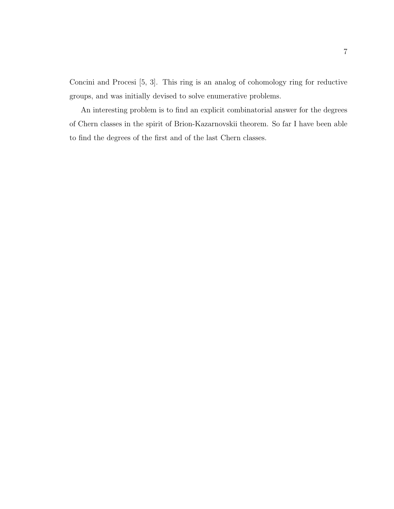Concini and Procesi [5, 3]. This ring is an analog of cohomology ring for reductive groups, and was initially devised to solve enumerative problems.

An interesting problem is to find an explicit combinatorial answer for the degrees of Chern classes in the spirit of Brion-Kazarnovskii theorem. So far I have been able to find the degrees of the first and of the last Chern classes.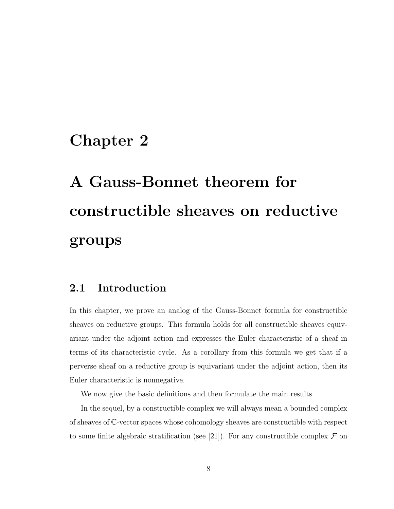### Chapter 2

# A Gauss-Bonnet theorem for constructible sheaves on reductive groups

### 2.1 Introduction

In this chapter, we prove an analog of the Gauss-Bonnet formula for constructible sheaves on reductive groups. This formula holds for all constructible sheaves equivariant under the adjoint action and expresses the Euler characteristic of a sheaf in terms of its characteristic cycle. As a corollary from this formula we get that if a perverse sheaf on a reductive group is equivariant under the adjoint action, then its Euler characteristic is nonnegative.

We now give the basic definitions and then formulate the main results.

In the sequel, by a constructible complex we will always mean a bounded complex of sheaves of C-vector spaces whose cohomology sheaves are constructible with respect to some finite algebraic stratification (see [21]). For any constructible complex  $\mathcal F$  on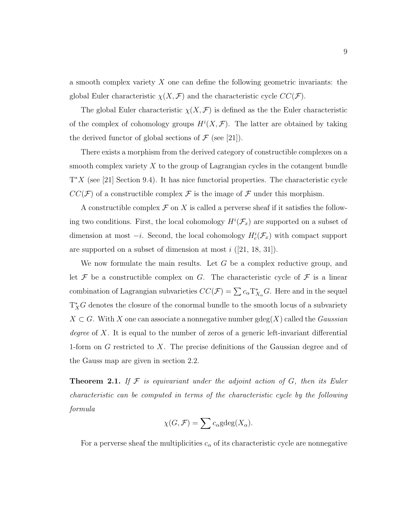a smooth complex variety X one can define the following geometric invariants: the global Euler characteristic  $\chi(X, \mathcal{F})$  and the characteristic cycle  $CC(\mathcal{F})$ .

The global Euler characteristic  $\chi(X, \mathcal{F})$  is defined as the the Euler characteristic of the complex of cohomology groups  $H^{i}(X,\mathcal{F})$ . The latter are obtained by taking the derived functor of global sections of  $\mathcal F$  (see [21]).

There exists a morphism from the derived category of constructible complexes on a smooth complex variety  $X$  to the group of Lagrangian cycles in the cotangent bundle  $T^*X$  (see [21] Section 9.4). It has nice functorial properties. The characteristic cycle  $CC(\mathcal{F})$  of a constructible complex  $\mathcal F$  is the image of  $\mathcal F$  under this morphism.

A constructible complex  $\mathcal F$  on X is called a perverse sheaf if it satisfies the following two conditions. First, the local cohomology  $H^{i}(\mathcal{F}_{x})$  are supported on a subset of dimension at most  $-i$ . Second, the local cohomology  $H_c^i(\mathcal{F}_x)$  with compact support are supported on a subset of dimension at most  $i$  ([21, 18, 31]).

We now formulate the main results. Let  $G$  be a complex reductive group, and let  $\mathcal F$  be a constructible complex on G. The characteristic cycle of  $\mathcal F$  is a linear combination of Lagrangian subvarieties  $CC(\mathcal{F}) = \sum c_{\alpha} T_{X_{\alpha}}^* G$ . Here and in the sequel  $T^*_XG$  denotes the closure of the conormal bundle to the smooth locus of a subvariety  $X \subset G$ . With X one can associate a nonnegative number gdeg(X) called the Gaussian degree of X. It is equal to the number of zeros of a generic left-invariant differential 1-form on  $G$  restricted to  $X$ . The precise definitions of the Gaussian degree and of the Gauss map are given in section 2.2.

**Theorem 2.1.** If  $F$  is equivariant under the adjoint action of  $G$ , then its Euler characteristic can be computed in terms of the characteristic cycle by the following formula

$$
\chi(G, \mathcal{F}) = \sum c_{\alpha} \text{gdeg}(X_{\alpha}).
$$

For a perverse sheaf the multiplicities  $c_{\alpha}$  of its characteristic cycle are nonnegative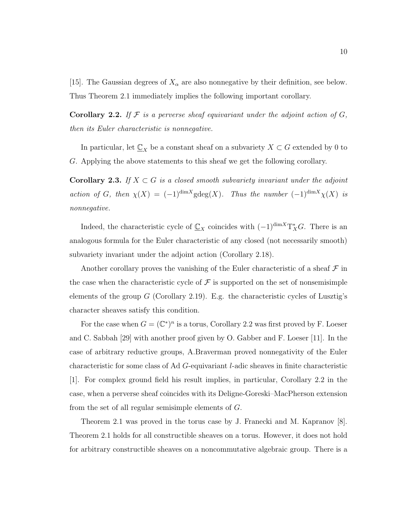[15]. The Gaussian degrees of  $X_{\alpha}$  are also nonnegative by their definition, see below. Thus Theorem 2.1 immediately implies the following important corollary.

**Corollary 2.2.** If  $F$  is a perverse sheaf equivariant under the adjoint action of  $G$ , then its Euler characteristic is nonnegative.

In particular, let  $\underline{\mathbb{C}}_X$  be a constant sheaf on a subvariety  $X \subset G$  extended by 0 to G. Applying the above statements to this sheaf we get the following corollary.

Corollary 2.3. If  $X \subset G$  is a closed smooth subvariety invariant under the adjoint action of G, then  $\chi(X) = (-1)^{\dim X}$ gdeg $(X)$ . Thus the number  $(-1)^{\dim X} \chi(X)$  is nonnegative.

Indeed, the characteristic cycle of  $\mathbb{C}_X$  coincides with  $(-1)^{\dim X}T^*_{X}G$ . There is an analogous formula for the Euler characteristic of any closed (not necessarily smooth) subvariety invariant under the adjoint action (Corollary 2.18).

Another corollary proves the vanishing of the Euler characteristic of a sheaf  $\mathcal F$  in the case when the characteristic cycle of  $\mathcal F$  is supported on the set of nonsemisimple elements of the group  $G$  (Corollary 2.19). E.g. the characteristic cycles of Lusztig's character sheaves satisfy this condition.

For the case when  $G = (\mathbb{C}^*)^n$  is a torus, Corollary 2.2 was first proved by F. Loeser and C. Sabbah [29] with another proof given by O. Gabber and F. Loeser [11]. In the case of arbitrary reductive groups, A.Braverman proved nonnegativity of the Euler characteristic for some class of Ad G-equivariant l-adic sheaves in finite characteristic [1]. For complex ground field his result implies, in particular, Corollary 2.2 in the case, when a perverse sheaf coincides with its Deligne-Goreski–MacPherson extension from the set of all regular semisimple elements of G.

Theorem 2.1 was proved in the torus case by J. Franecki and M. Kapranov [8]. Theorem 2.1 holds for all constructible sheaves on a torus. However, it does not hold for arbitrary constructible sheaves on a noncommutative algebraic group. There is a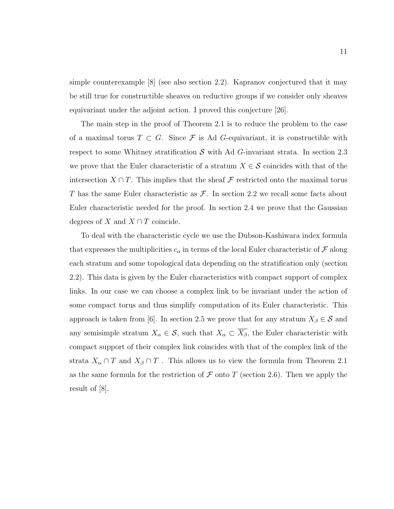simple counterexample [8] (see also section 2.2). Kapranov conjectured that it may be still true for constructible sheaves on reductive groups if we consider only sheaves equivariant under the adjoint action. I proved this conjecture [26].

The main step in the proof of Theorem 2.1 is to reduce the problem to the case of a maximal torus  $T \subset G$ . Since F is Ad G-equivariant, it is constructible with respect to some Whitney stratification  $S$  with Ad G-invariant strata. In section 2.3 we prove that the Euler characteristic of a stratum  $X \in \mathcal{S}$  coincides with that of the intersection  $X \cap T$ . This implies that the sheaf  $\mathcal F$  restricted onto the maximal torus T has the same Euler characteristic as  $\mathcal{F}$ . In section 2.2 we recall some facts about Euler characteristic needed for the proof. In section 2.4 we prove that the Gaussian degrees of X and  $X \cap T$  coincide.

To deal with the characteristic cycle we use the Dubson-Kashiwara index formula that expresses the multiplicities  $c_{\alpha}$  in terms of the local Euler characteristic of  $\mathcal F$  along each stratum and some topological data depending on the stratification only (section 2.2). This data is given by the Euler characteristics with compact support of complex links. In our case we can choose a complex link to be invariant under the action of some compact torus and thus simplify computation of its Euler characteristic. This approach is taken from [6]. In section 2.5 we prove that for any stratum  $X_{\beta} \in \mathcal{S}$  and any semisimple stratum  $X_{\alpha} \in \mathcal{S}$ , such that  $X_{\alpha} \subset \overline{X_{\beta}}$ , the Euler characteristic with compact support of their complex link coincides with that of the complex link of the strata  $X_{\alpha} \cap T$  and  $X_{\beta} \cap T$ . This allows us to view the formula from Theorem 2.1 as the same formula for the restriction of  $\mathcal F$  onto  $T$  (section 2.6). Then we apply the result of [8].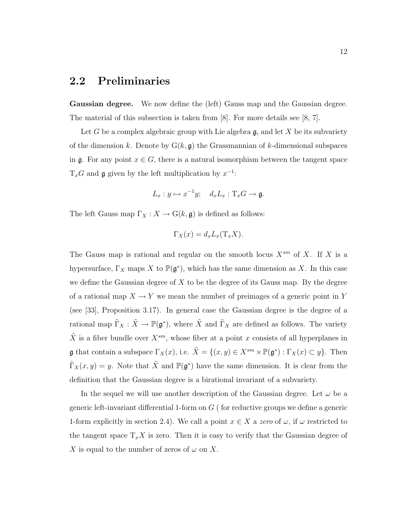### 2.2 Preliminaries

Gaussian degree. We now define the (left) Gauss map and the Gaussian degree. The material of this subsection is taken from [8]. For more details see [8, 7].

Let G be a complex algebraic group with Lie algebra  $\mathfrak{g}$ , and let X be its subvariety of the dimension k. Denote by  $G(k, \mathfrak{g})$  the Grassmannian of k-dimensional subspaces in g. For any point  $x \in G$ , there is a natural isomorphism between the tangent space  $T_xG$  and **g** given by the left multiplication by  $x^{-1}$ :

$$
L_x: y \mapsto x^{-1}y; \quad d_xL_x: \mathrm{T}_xG \to \mathfrak{g}.
$$

The left Gauss map  $\Gamma_X : X \to G(k, \mathfrak{g})$  is defined as follows:

$$
\Gamma_X(x) = d_x L_x(\mathcal{T}_x X).
$$

The Gauss map is rational and regular on the smooth locus  $X^{sm}$  of X. If X is a hypersurface,  $\Gamma_X$  maps X to  $\mathbb{P}(\mathfrak{g}^*)$ , which has the same dimension as X. In this case we define the Gaussian degree of  $X$  to be the degree of its Gauss map. By the degree of a rational map  $X \to Y$  we mean the number of preimages of a generic point in Y (see [33], Proposition 3.17). In general case the Gaussian degree is the degree of a rational map  $\tilde{\Gamma}_X : \tilde{X} \to \mathbb{P}(\mathfrak{g}^*)$ , where  $\tilde{X}$  and  $\tilde{\Gamma}_X$  are defined as follows. The variety  $\tilde{X}$  is a fiber bundle over  $X^{sm}$ , whose fiber at a point x consists of all hyperplanes in **g** that contain a subspace  $\Gamma_X(x)$ , i.e.  $\tilde{X} = \{(x, y) \in X^{sm} \times \mathbb{P}(\mathfrak{g}^*) : \Gamma_X(x) \subset y\}$ . Then  $\tilde{\Gamma}_X(x,y) = y$ . Note that  $\tilde{X}$  and  $\mathbb{P}(\mathfrak{g}^*)$  have the same dimension. It is clear from the definition that the Gaussian degree is a birational invariant of a subvariety.

In the sequel we will use another description of the Gaussian degree. Let  $\omega$  be a generic left-invariant differential 1-form on  $G$  (for reductive groups we define a generic 1-form explicitly in section 2.4). We call a point  $x \in X$  a zero of  $\omega$ , if  $\omega$  restricted to the tangent space  $T_x X$  is zero. Then it is easy to verify that the Gaussian degree of X is equal to the number of zeros of  $\omega$  on X.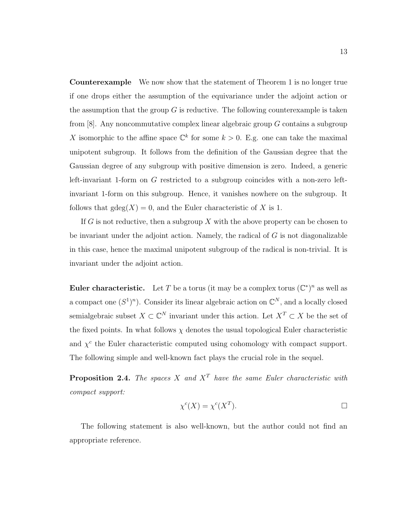Counterexample We now show that the statement of Theorem 1 is no longer true if one drops either the assumption of the equivariance under the adjoint action or the assumption that the group  $G$  is reductive. The following counterexample is taken from  $[8]$ . Any noncommutative complex linear algebraic group G contains a subgroup X isomorphic to the affine space  $\mathbb{C}^k$  for some  $k > 0$ . E.g. one can take the maximal unipotent subgroup. It follows from the definition of the Gaussian degree that the Gaussian degree of any subgroup with positive dimension is zero. Indeed, a generic left-invariant 1-form on G restricted to a subgroup coincides with a non-zero leftinvariant 1-form on this subgroup. Hence, it vanishes nowhere on the subgroup. It follows that  $\gcd(X) = 0$ , and the Euler characteristic of X is 1.

If G is not reductive, then a subgroup X with the above property can be chosen to be invariant under the adjoint action. Namely, the radical of  $G$  is not diagonalizable in this case, hence the maximal unipotent subgroup of the radical is non-trivial. It is invariant under the adjoint action.

**Euler characteristic.** Let T be a torus (it may be a complex torus  $(\mathbb{C}^*)^n$  as well as a compact one  $(S^1)^n$ ). Consider its linear algebraic action on  $\mathbb{C}^N$ , and a locally closed semialgebraic subset  $X \subset \mathbb{C}^N$  invariant under this action. Let  $X^T \subset X$  be the set of the fixed points. In what follows  $\chi$  denotes the usual topological Euler characteristic and  $\chi^c$  the Euler characteristic computed using cohomology with compact support. The following simple and well-known fact plays the crucial role in the sequel.

**Proposition 2.4.** The spaces X and  $X<sup>T</sup>$  have the same Euler characteristic with compact support:

$$
\chi^c(X) = \chi^c(X^T). \qquad \qquad \Box
$$

The following statement is also well-known, but the author could not find an appropriate reference.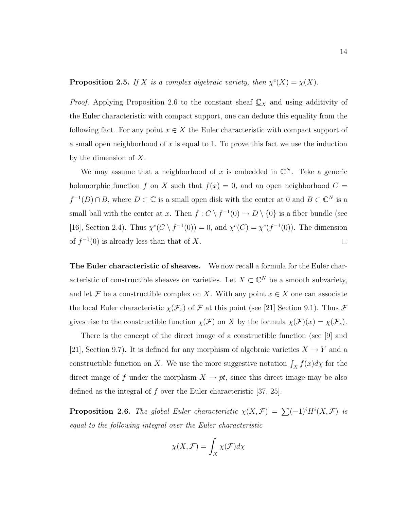**Proposition 2.5.** If X is a complex algebraic variety, then  $\chi^c(X) = \chi(X)$ .

*Proof.* Applying Proposition 2.6 to the constant sheaf  $\mathbb{C}_X$  and using additivity of the Euler characteristic with compact support, one can deduce this equality from the following fact. For any point  $x \in X$  the Euler characteristic with compact support of a small open neighborhood of  $x$  is equal to 1. To prove this fact we use the induction by the dimension of  $X$ .

We may assume that a neighborhood of x is embedded in  $\mathbb{C}^N$ . Take a generic holomorphic function f on X such that  $f(x) = 0$ , and an open neighborhood  $C =$  $f^{-1}(D) \cap B$ , where  $D \subset \mathbb{C}$  is a small open disk with the center at 0 and  $B \subset \mathbb{C}^N$  is a small ball with the center at x. Then  $f: C \setminus f^{-1}(0) \to D \setminus \{0\}$  is a fiber bundle (see [16], Section 2.4). Thus  $\chi^c(C \setminus f^{-1}(0)) = 0$ , and  $\chi^c(C) = \chi^c(f^{-1}(0))$ . The dimension of  $f^{-1}(0)$  is already less than that of X.  $\Box$ 

The Euler characteristic of sheaves. We now recall a formula for the Euler characteristic of constructible sheaves on varieties. Let  $X \subset \mathbb{C}^N$  be a smooth subvariety, and let  $\mathcal F$  be a constructible complex on X. With any point  $x \in X$  one can associate the local Euler characteristic  $\chi(\mathcal{F}_x)$  of  $\mathcal F$  at this point (see [21] Section 9.1). Thus  $\mathcal F$ gives rise to the constructible function  $\chi(\mathcal{F})$  on X by the formula  $\chi(\mathcal{F})(x) = \chi(\mathcal{F}_x)$ .

There is the concept of the direct image of a constructible function (see [9] and [21], Section 9.7). It is defined for any morphism of algebraic varieties  $X \to Y$  and a constructible function on X. We use the more suggestive notation  $\int_X f(x) dx$  for the direct image of f under the morphism  $X \to pt$ , since this direct image may be also defined as the integral of f over the Euler characteristic [37, 25].

**Proposition 2.6.** The global Euler characteristic  $\chi(X,\mathcal{F}) = \sum (-1)^i H^i(X,\mathcal{F})$  is equal to the following integral over the Euler characteristic

$$
\chi(X,\mathcal{F}) = \int_X \chi(\mathcal{F})d\chi
$$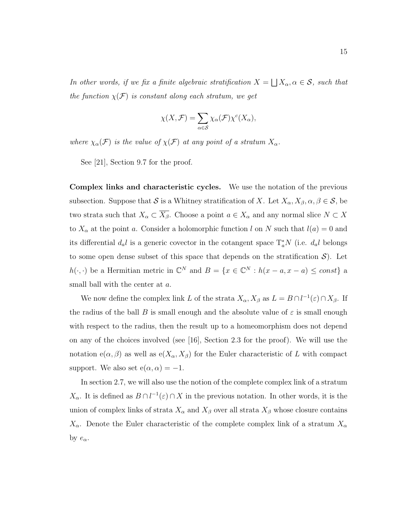In other words, if we fix a finite algebraic stratification  $X =$ F  $X_{\alpha}, \alpha \in \mathcal{S}$ , such that the function  $\chi(\mathcal{F})$  is constant along each stratum, we get

$$
\chi(X,\mathcal{F}) = \sum_{\alpha \in \mathcal{S}} \chi_{\alpha}(\mathcal{F}) \chi^{c}(X_{\alpha}),
$$

where  $\chi_{\alpha}(\mathcal{F})$  is the value of  $\chi(\mathcal{F})$  at any point of a stratum  $X_{\alpha}$ .

See [21], Section 9.7 for the proof.

Complex links and characteristic cycles. We use the notation of the previous subsection. Suppose that S is a Whitney stratification of X. Let  $X_{\alpha}$ ,  $X_{\beta}$ ,  $\alpha$ ,  $\beta \in S$ , be two strata such that  $X_{\alpha} \subset \overline{X_{\beta}}$ . Choose a point  $a \in X_{\alpha}$  and any normal slice  $N \subset X$ to  $X_{\alpha}$  at the point a. Consider a holomorphic function l on N such that  $l(a) = 0$  and its differential  $d_a l$  is a generic covector in the cotangent space  $\mathrm{T}_a^* N$  (i.e.  $d_a l$  belongs to some open dense subset of this space that depends on the stratification  $\mathcal{S}$ ). Let  $h(\cdot, \cdot)$  be a Hermitian metric in  $\mathbb{C}^N$  and  $B = \{x \in \mathbb{C}^N : h(x - a, x - a) \leq const\}$  a small ball with the center at a.

We now define the complex link L of the strata  $X_{\alpha}$ ,  $X_{\beta}$  as  $L = B \cap l^{-1}(\varepsilon) \cap X_{\beta}$ . If the radius of the ball B is small enough and the absolute value of  $\varepsilon$  is small enough with respect to the radius, then the result up to a homeomorphism does not depend on any of the choices involved (see [16], Section 2.3 for the proof). We will use the notation  $e(\alpha, \beta)$  as well as  $e(X_{\alpha}, X_{\beta})$  for the Euler characteristic of L with compact support. We also set  $e(\alpha, \alpha) = -1$ .

In section 2.7, we will also use the notion of the complete complex link of a stratum  $X_{\alpha}$ . It is defined as  $B \cap l^{-1}(\varepsilon) \cap X$  in the previous notation. In other words, it is the union of complex links of strata  $X_{\alpha}$  and  $X_{\beta}$  over all strata  $X_{\beta}$  whose closure contains  $X_{\alpha}$ . Denote the Euler characteristic of the complete complex link of a stratum  $X_{\alpha}$ by  $e_{\alpha}$ .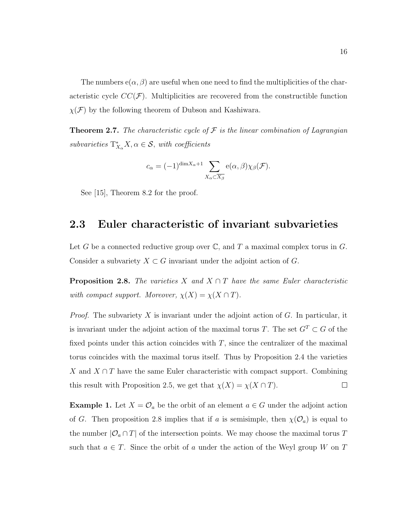The numbers  $e(\alpha, \beta)$  are useful when one need to find the multiplicities of the characteristic cycle  $CC(\mathcal{F})$ . Multiplicities are recovered from the constructible function  $\chi(\mathcal{F})$  by the following theorem of Dubson and Kashiwara.

**Theorem 2.7.** The characteristic cycle of  $\mathcal F$  is the linear combination of Lagrangian subvarieties  $T_{X_{\alpha}}^* X, \alpha \in \mathcal{S}$ , with coefficients

$$
c_{\alpha} = (-1)^{\dim X_{\alpha} + 1} \sum_{X_{\alpha} \subset \overline{X_{\beta}}} e(\alpha, \beta) \chi_{\beta}(\mathcal{F}).
$$

See [15], Theorem 8.2 for the proof.

### 2.3 Euler characteristic of invariant subvarieties

Let G be a connected reductive group over  $\mathbb{C}$ , and T a maximal complex torus in G. Consider a subvariety  $X \subset G$  invariant under the adjoint action of G.

**Proposition 2.8.** The varieties X and  $X \cap T$  have the same Euler characteristic with compact support. Moreover,  $\chi(X) = \chi(X \cap T)$ .

*Proof.* The subvariety X is invariant under the adjoint action of G. In particular, it is invariant under the adjoint action of the maximal torus T. The set  $G<sup>T</sup> \subset G$  of the fixed points under this action coincides with  $T$ , since the centralizer of the maximal torus coincides with the maximal torus itself. Thus by Proposition 2.4 the varieties X and  $X \cap T$  have the same Euler characteristic with compact support. Combining this result with Proposition 2.5, we get that  $\chi(X) = \chi(X \cap T)$ .  $\Box$ 

**Example 1.** Let  $X = \mathcal{O}_a$  be the orbit of an element  $a \in G$  under the adjoint action of G. Then proposition 2.8 implies that if a is semisimple, then  $\chi(\mathcal{O}_a)$  is equal to the number  $|O_a \cap T|$  of the intersection points. We may choose the maximal torus T such that  $a \in T$ . Since the orbit of a under the action of the Weyl group W on T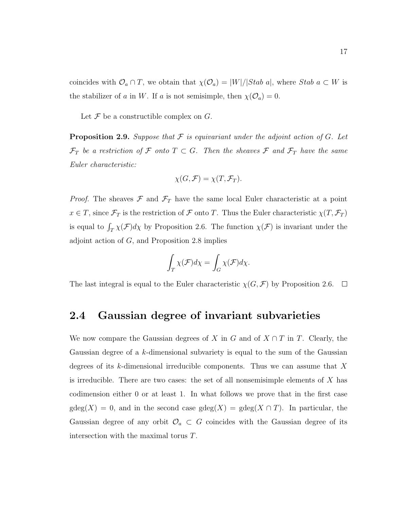coincides with  $\mathcal{O}_a \cap T$ , we obtain that  $\chi(\mathcal{O}_a) = |W|/|Stab\ a|$ , where  $Stab\ a \subset W$  is the stabilizer of a in W. If a is not semisimple, then  $\chi(\mathcal{O}_a) = 0$ .

Let  $\mathcal F$  be a constructible complex on  $G$ .

**Proposition 2.9.** Suppose that  $\mathcal F$  is equivariant under the adjoint action of  $G$ . Let  $\mathcal{F}_T$  be a restriction of F onto  $T \subset G$ . Then the sheaves F and  $\mathcal{F}_T$  have the same Euler characteristic:

$$
\chi(G,\mathcal{F})=\chi(T,\mathcal{F}_T).
$$

*Proof.* The sheaves  $\mathcal F$  and  $\mathcal F_T$  have the same local Euler characteristic at a point  $x \in T$ , since  $\mathcal{F}_T$  is the restriction of  $\mathcal F$  onto T. Thus the Euler characteristic  $\chi(T, \mathcal{F}_T)$ is equal to  $\int_T \chi(\mathcal{F})d\chi$  by Proposition 2.6. The function  $\chi(\mathcal{F})$  is invariant under the adjoint action of  $G$ , and Proposition 2.8 implies

$$
\int_T \chi(\mathcal{F})d\chi = \int_G \chi(\mathcal{F})d\chi.
$$

The last integral is equal to the Euler characteristic  $\chi(G, \mathcal{F})$  by Proposition 2.6.  $\Box$ 

### 2.4 Gaussian degree of invariant subvarieties

We now compare the Gaussian degrees of X in G and of  $X \cap T$  in T. Clearly, the Gaussian degree of a k-dimensional subvariety is equal to the sum of the Gaussian degrees of its k-dimensional irreducible components. Thus we can assume that  $X$ is irreducible. There are two cases: the set of all nonsemisimple elements of  $X$  has codimension either 0 or at least 1. In what follows we prove that in the first case  $gdeg(X) = 0$ , and in the second case  $gdeg(X) = gdeg(X \cap T)$ . In particular, the Gaussian degree of any orbit  $\mathcal{O}_a \subset G$  coincides with the Gaussian degree of its intersection with the maximal torus T.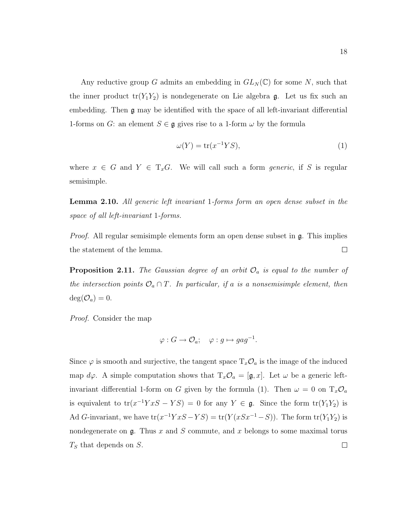Any reductive group G admits an embedding in  $GL_N(\mathbb{C})$  for some N, such that the inner product  $tr(Y_1Y_2)$  is nondegenerate on Lie algebra g. Let us fix such an embedding. Then g may be identified with the space of all left-invariant differential 1-forms on G: an element  $S \in \mathfrak{g}$  gives rise to a 1-form  $\omega$  by the formula

$$
\omega(Y) = \text{tr}(x^{-1}YS),\tag{1}
$$

where  $x \in G$  and  $Y \in T_xG$ . We will call such a form *generic*, if S is regular semisimple.

Lemma 2.10. All generic left invariant 1-forms form an open dense subset in the space of all left-invariant 1-forms.

*Proof.* All regular semisimple elements form an open dense subset in  $\mathfrak{g}$ . This implies the statement of the lemma.  $\Box$ 

**Proposition 2.11.** The Gaussian degree of an orbit  $\mathcal{O}_a$  is equal to the number of the intersection points  $\mathcal{O}_a \cap T$ . In particular, if a is a nonsemisimple element, then  $deg(\mathcal{O}_a)=0.$ 

Proof. Consider the map

$$
\varphi: G \to \mathcal{O}_a; \quad \varphi: g \mapsto gag^{-1}.
$$

Since  $\varphi$  is smooth and surjective, the tangent space  $T_x\mathcal{O}_a$  is the image of the induced map  $d\varphi$ . A simple computation shows that  $T_x\mathcal{O}_a = [\mathfrak{g},x]$ . Let  $\omega$  be a generic leftinvariant differential 1-form on G given by the formula (1). Then  $\omega = 0$  on  $T_x \mathcal{O}_a$ is equivalent to  $tr(x^{-1}YxS - YS) = 0$  for any  $Y \in \mathfrak{g}$ . Since the form  $tr(Y_1Y_2)$  is Ad G-invariant, we have  $tr(x^{-1}YxS - YS) = tr(Y(xSx^{-1} - S))$ . The form  $tr(Y_1Y_2)$  is nondegenerate on  $\mathfrak g$ . Thus x and S commute, and x belongs to some maximal torus  $T<sub>S</sub>$  that depends on S.  $\Box$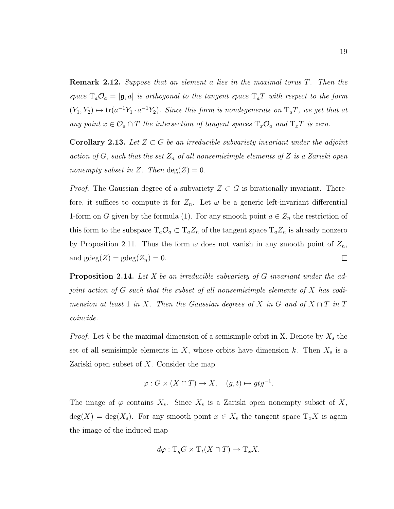**Remark 2.12.** Suppose that an element a lies in the maximal torus T. Then the space  $T_a \mathcal{O}_a = [\mathfrak{g}, a]$  is orthogonal to the tangent space  $T_a T$  with respect to the form  $(Y_1, Y_2) \mapsto \text{tr}(a^{-1}Y_1 \cdot a^{-1}Y_2)$ . Since this form is nondegenerate on  $T_aT$ , we get that at any point  $x \in \mathcal{O}_a \cap T$  the intersection of tangent spaces  $T_x \mathcal{O}_a$  and  $T_x T$  is zero.

**Corollary 2.13.** Let  $Z \subset G$  be an irreducible subvariety invariant under the adjoint action of G, such that the set  $Z_n$  of all nonsemisimple elements of Z is a Zariski open nonempty subset in Z. Then  $deg(Z) = 0$ .

*Proof.* The Gaussian degree of a subvariety  $Z \subset G$  is birationally invariant. Therefore, it suffices to compute it for  $Z_n$ . Let  $\omega$  be a generic left-invariant differential 1-form on G given by the formula (1). For any smooth point  $a \in Z_n$  the restriction of this form to the subspace  $T_a \mathcal{O}_a \subset T_a Z_n$  of the tangent space  $T_a Z_n$  is already nonzero by Proposition 2.11. Thus the form  $\omega$  does not vanish in any smooth point of  $Z_n$ , and  $\text{gdeg}(Z) = \text{gdeg}(Z_n) = 0.$  $\Box$ 

**Proposition 2.14.** Let X be an irreducible subvariety of G invariant under the adjoint action of G such that the subset of all nonsemisimple elements of X has codimension at least 1 in X. Then the Gaussian degrees of X in G and of  $X \cap T$  in T coincide.

*Proof.* Let k be the maximal dimension of a semisimple orbit in X. Denote by  $X_s$  the set of all semisimple elements in  $X$ , whose orbits have dimension k. Then  $X_s$  is a Zariski open subset of X. Consider the map

$$
\varphi: G \times (X \cap T) \to X, \quad (g, t) \mapsto g t g^{-1}.
$$

The image of  $\varphi$  contains  $X_s$ . Since  $X_s$  is a Zariski open nonempty subset of X,  $deg(X) = deg(X_s)$ . For any smooth point  $x \in X_s$  the tangent space  $T_x X$  is again the image of the induced map

$$
d\varphi: \mathrm{T}_g G \times \mathrm{T}_t (X \cap T) \to \mathrm{T}_x X,
$$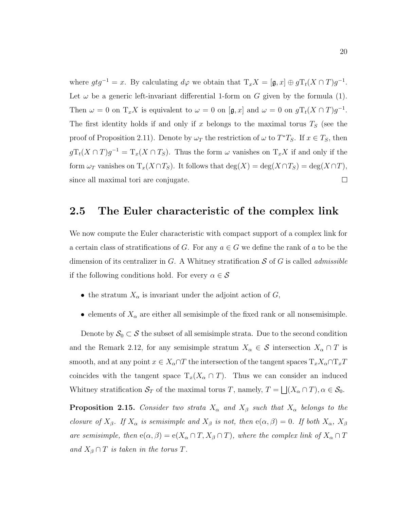where  $gtg^{-1} = x$ . By calculating  $d\varphi$  we obtain that  $T_xX = [\mathfrak{g}, x] \oplus gT_t(X \cap T)g^{-1}$ . Let  $\omega$  be a generic left-invariant differential 1-form on G given by the formula (1). Then  $\omega = 0$  on  $T_x X$  is equivalent to  $\omega = 0$  on  $[\mathfrak{g}, x]$  and  $\omega = 0$  on  $gT_t(X \cap T)g^{-1}$ . The first identity holds if and only if x belongs to the maximal torus  $T<sub>S</sub>$  (see the proof of Proposition 2.11). Denote by  $\omega_T$  the restriction of  $\omega$  to  $T^*T_S$ . If  $x \in T_S$ , then  $gT_t(X \cap T)g^{-1} = T_x(X \cap T_S)$ . Thus the form  $\omega$  vanishes on  $T_xX$  if and only if the form  $\omega_T$  vanishes on  $T_x(X \cap T_S)$ . It follows that  $\deg(X) = \deg(X \cap T_S) = \deg(X \cap T)$ , since all maximal tori are conjugate.  $\Box$ 

#### 2.5 The Euler characteristic of the complex link

We now compute the Euler characteristic with compact support of a complex link for a certain class of stratifications of G. For any  $a \in G$  we define the rank of a to be the dimension of its centralizer in  $G$ . A Whitney stratification  $S$  of  $G$  is called *admissible* if the following conditions hold. For every  $\alpha \in \mathcal{S}$ 

- the stratum  $X_{\alpha}$  is invariant under the adjoint action of  $G$ ,
- elements of  $X_{\alpha}$  are either all semisimple of the fixed rank or all nonsemisimple.

Denote by  $S_0 \subset S$  the subset of all semisimple strata. Due to the second condition and the Remark 2.12, for any semisimple stratum  $X_{\alpha} \in \mathcal{S}$  intersection  $X_{\alpha} \cap T$  is smooth, and at any point  $x \in X_\alpha \cap T$  the intersection of the tangent spaces  $T_x X_\alpha \cap T_x T$ coincides with the tangent space  $T_x(X_\alpha \cap T)$ . Thus we can consider an induced Whitney stratification  $S_T$  of the maximal torus T, namely,  $T =$ F  $(X_\alpha \cap T), \alpha \in \mathcal{S}_0.$ 

**Proposition 2.15.** Consider two strata  $X_{\alpha}$  and  $X_{\beta}$  such that  $X_{\alpha}$  belongs to the closure of  $X_\beta$ . If  $X_\alpha$  is semisimple and  $X_\beta$  is not, then  $e(\alpha, \beta) = 0$ . If both  $X_\alpha$ ,  $X_\beta$ are semisimple, then  $e(\alpha, \beta) = e(X_\alpha \cap T, X_\beta \cap T)$ , where the complex link of  $X_\alpha \cap T$ and  $X_{\beta} \cap T$  is taken in the torus T.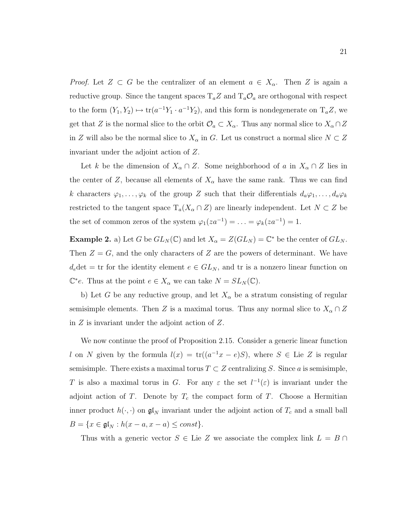*Proof.* Let  $Z \subset G$  be the centralizer of an element  $a \in X_\alpha$ . Then Z is again a reductive group. Since the tangent spaces  $T_a Z$  and  $T_a O_a$  are orthogonal with respect to the form  $(Y_1, Y_2) \mapsto \text{tr}(a^{-1}Y_1 \cdot a^{-1}Y_2)$ , and this form is nondegenerate on  $T_a Z$ , we get that Z is the normal slice to the orbit  $\mathcal{O}_a \subset X_\alpha$ . Thus any normal slice to  $X_\alpha \cap Z$ in Z will also be the normal slice to  $X_{\alpha}$  in G. Let us construct a normal slice  $N \subset Z$ invariant under the adjoint action of Z.

Let k be the dimension of  $X_\alpha \cap Z$ . Some neighborhood of a in  $X_\alpha \cap Z$  lies in the center of Z, because all elements of  $X_{\alpha}$  have the same rank. Thus we can find k characters  $\varphi_1, \ldots, \varphi_k$  of the group Z such that their differentials  $d_a\varphi_1, \ldots, d_a\varphi_k$ restricted to the tangent space  $T_a(X_\alpha \cap Z)$  are linearly independent. Let  $N \subset Z$  be the set of common zeros of the system  $\varphi_1(za^{-1}) = \ldots = \varphi_k(za^{-1}) = 1$ .

**Example 2.** a) Let G be  $GL_N(\mathbb{C})$  and let  $X_\alpha = Z(GL_N) = \mathbb{C}^*$  be the center of  $GL_N$ . Then  $Z = G$ , and the only characters of Z are the powers of determinant. We have  $d_e \det = \text{tr for the identity element } e \in GL_N$ , and  $\text{tr is a nonzero linear function on }$  $\mathbb{C}^*e$ . Thus at the point  $e \in X_\alpha$  we can take  $N = SL_N(\mathbb{C})$ .

b) Let G be any reductive group, and let  $X_{\alpha}$  be a stratum consisting of regular semisimple elements. Then Z is a maximal torus. Thus any normal slice to  $X_\alpha \cap Z$ in  $Z$  is invariant under the adjoint action of  $Z$ .

We now continue the proof of Proposition 2.15. Consider a generic linear function l on N given by the formula  $l(x) = \text{tr}((a^{-1}x - e)S)$ , where  $S \in \text{Lie } Z$  is regular semisimple. There exists a maximal torus  $T \subset Z$  centralizing S. Since a is semisimple, T is also a maximal torus in G. For any  $\varepsilon$  the set  $l^{-1}(\varepsilon)$  is invariant under the adjoint action of T. Denote by  $T_c$  the compact form of T. Choose a Hermitian inner product  $h(\cdot, \cdot)$  on  $\mathfrak{gl}_N$  invariant under the adjoint action of  $T_c$  and a small ball  $B = \{x \in \mathfrak{gl}_N : h(x - a, x - a) \leq const\}.$ 

Thus with a generic vector  $S \in \text{Lie } Z$  we associate the complex link  $L = B \cap Z$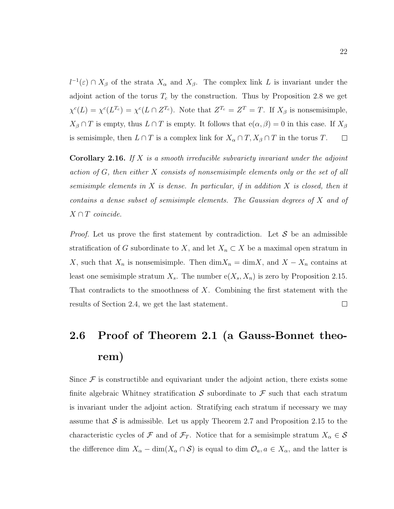$l^{-1}(\varepsilon) \cap X_\beta$  of the strata  $X_\alpha$  and  $X_\beta$ . The complex link L is invariant under the adjoint action of the torus  $T_c$  by the construction. Thus by Proposition 2.8 we get  $\chi^c(L) = \chi^c(L^{T_c}) = \chi^c(L \cap Z^{T_c})$ . Note that  $Z^{T_c} = Z^T = T$ . If  $X_\beta$  is nonsemisimple,  $X_{\beta} \cap T$  is empty, thus  $L \cap T$  is empty. It follows that  $e(\alpha, \beta) = 0$  in this case. If  $X_{\beta}$ is semisimple, then  $L \cap T$  is a complex link for  $X_{\alpha} \cap T, X_{\beta} \cap T$  in the torus T.  $\Box$ 

**Corollary 2.16.** If  $X$  is a smooth irreducible subvariety invariant under the adjoint action of G, then either X consists of nonsemisimple elements only or the set of all semisimple elements in  $X$  is dense. In particular, if in addition  $X$  is closed, then it contains a dense subset of semisimple elements. The Gaussian degrees of X and of  $X \cap T$  coincide.

*Proof.* Let us prove the first statement by contradiction. Let  $S$  be an admissible stratification of G subordinate to X, and let  $X_n \subset X$  be a maximal open stratum in X, such that  $X_n$  is nonsemisimple. Then  $\dim X_n = \dim X$ , and  $X - X_n$  contains at least one semisimple stratum  $X_s$ . The number  $e(X_s, X_n)$  is zero by Proposition 2.15. That contradicts to the smoothness of  $X$ . Combining the first statement with the results of Section 2.4, we get the last statement.  $\Box$ 

# 2.6 Proof of Theorem 2.1 (a Gauss-Bonnet theorem)

Since  $\mathcal F$  is constructible and equivariant under the adjoint action, there exists some finite algebraic Whitney stratification S subordinate to  $\mathcal F$  such that each stratum is invariant under the adjoint action. Stratifying each stratum if necessary we may assume that S is admissible. Let us apply Theorem 2.7 and Proposition 2.15 to the characteristic cycles of F and of  $\mathcal{F}_T$ . Notice that for a semisimple stratum  $X_\alpha \in \mathcal{S}$ the difference dim  $X_{\alpha} - \dim(X_{\alpha} \cap S)$  is equal to dim  $\mathcal{O}_{a}, a \in X_{\alpha}$ , and the latter is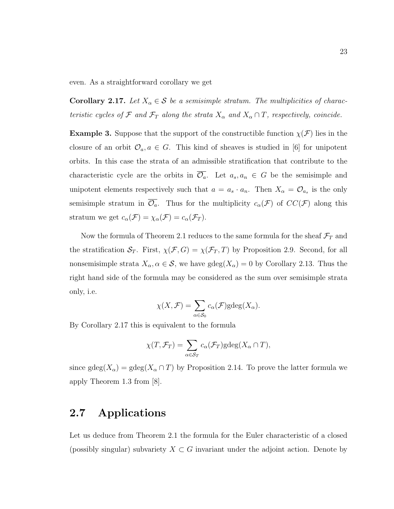even. As a straightforward corollary we get

**Corollary 2.17.** Let  $X_{\alpha} \in \mathcal{S}$  be a semisimple stratum. The multiplicities of characteristic cycles of  $\mathcal F$  and  $\mathcal F_T$  along the strata  $X_\alpha$  and  $X_\alpha \cap T$ , respectively, coincide.

**Example 3.** Suppose that the support of the constructible function  $\chi(\mathcal{F})$  lies in the closure of an orbit  $\mathcal{O}_a, a \in G$ . This kind of sheaves is studied in [6] for unipotent orbits. In this case the strata of an admissible stratification that contribute to the characteristic cycle are the orbits in  $\overline{\mathcal{O}_a}$ . Let  $a_s, a_n \in G$  be the semisimple and unipotent elements respectively such that  $a = a_s \cdot a_n$ . Then  $X_\alpha = \mathcal{O}_{a_s}$  is the only semisimple stratum in  $\overline{\mathcal{O}_a}$ . Thus for the multiplicity  $c_\alpha(\mathcal{F})$  of  $CC(\mathcal{F})$  along this stratum we get  $c_{\alpha}(\mathcal{F}) = \chi_{\alpha}(\mathcal{F}) = c_{\alpha}(\mathcal{F}_T)$ .

Now the formula of Theorem 2.1 reduces to the same formula for the sheaf  $\mathcal{F}_T$  and the stratification  $S_T$ . First,  $\chi(\mathcal{F}, G) = \chi(\mathcal{F}_T, T)$  by Proposition 2.9. Second, for all nonsemisimple strata  $X_{\alpha}, \alpha \in \mathcal{S}$ , we have  $gdeg(X_{\alpha}) = 0$  by Corollary 2.13. Thus the right hand side of the formula may be considered as the sum over semisimple strata only, i.e.

$$
\chi(X, \mathcal{F}) = \sum_{\alpha \in \mathcal{S}_0} c_{\alpha}(\mathcal{F}) \text{gdeg}(X_{\alpha}).
$$

By Corollary 2.17 this is equivalent to the formula

$$
\chi(T, \mathcal{F}_T) = \sum_{\alpha \in \mathcal{S}_T} c_{\alpha}(\mathcal{F}_T) \text{gdeg}(X_{\alpha} \cap T),
$$

since  $\text{gdeg}(X_\alpha) = \text{gdeg}(X_\alpha \cap T)$  by Proposition 2.14. To prove the latter formula we apply Theorem 1.3 from [8].

### 2.7 Applications

Let us deduce from Theorem 2.1 the formula for the Euler characteristic of a closed (possibly singular) subvariety  $X \subset G$  invariant under the adjoint action. Denote by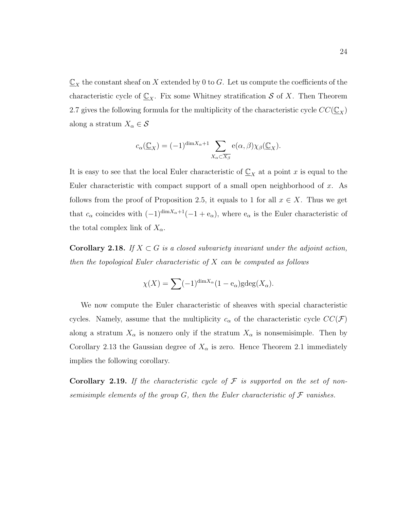$\underline{\mathbb{C}}_X$  the constant sheaf on X extended by 0 to G. Let us compute the coefficients of the characteristic cycle of  $\underline{\mathbb{C}}_X$ . Fix some Whitney stratification S of X. Then Theorem 2.7 gives the following formula for the multiplicity of the characteristic cycle  $CC(\mathbb{C}_{X})$ along a stratum  $X_{\alpha} \in \mathcal{S}$ 

$$
c_{\alpha}(\underline{\mathbb{C}}_X) = (-1)^{\dim X_{\alpha}+1} \sum_{X_{\alpha} \subset \overline{X_{\beta}}} e(\alpha, \beta) \chi_{\beta}(\underline{\mathbb{C}}_X).
$$

It is easy to see that the local Euler characteristic of  $\underline{\mathbb{C}}_X$  at a point x is equal to the Euler characteristic with compact support of a small open neighborhood of  $x$ . As follows from the proof of Proposition 2.5, it equals to 1 for all  $x \in X$ . Thus we get that  $c_{\alpha}$  coincides with  $(-1)^{\dim X_{\alpha}+1}(-1+e_{\alpha})$ , where  $e_{\alpha}$  is the Euler characteristic of the total complex link of  $X_{\alpha}$ .

**Corollary 2.18.** If  $X \subset G$  is a closed subvariety invariant under the adjoint action, then the topological Euler characteristic of  $X$  can be computed as follows

$$
\chi(X) = \sum (-1)^{\dim X_{\alpha}} (1 - e_{\alpha}) \text{gdeg}(X_{\alpha}).
$$

We now compute the Euler characteristic of sheaves with special characteristic cycles. Namely, assume that the multiplicity  $c_{\alpha}$  of the characteristic cycle  $CC(\mathcal{F})$ along a stratum  $X_{\alpha}$  is nonzero only if the stratum  $X_{\alpha}$  is nonsemisimple. Then by Corollary 2.13 the Gaussian degree of  $X_{\alpha}$  is zero. Hence Theorem 2.1 immediately implies the following corollary.

**Corollary 2.19.** If the characteristic cycle of  $\mathcal F$  is supported on the set of nonsemisimple elements of the group  $G$ , then the Euler characteristic of  $\mathcal F$  vanishes.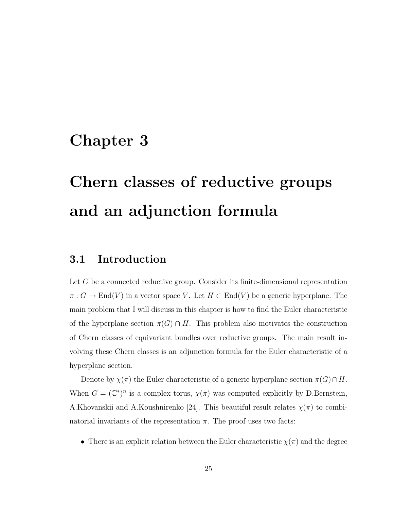### Chapter 3

# Chern classes of reductive groups and an adjunction formula

### 3.1 Introduction

Let G be a connected reductive group. Consider its finite-dimensional representation  $\pi: G \to \text{End}(V)$  in a vector space V. Let  $H \subset \text{End}(V)$  be a generic hyperplane. The main problem that I will discuss in this chapter is how to find the Euler characteristic of the hyperplane section  $\pi(G) \cap H$ . This problem also motivates the construction of Chern classes of equivariant bundles over reductive groups. The main result involving these Chern classes is an adjunction formula for the Euler characteristic of a hyperplane section.

Denote by  $\chi(\pi)$  the Euler characteristic of a generic hyperplane section  $\pi(G) \cap H$ . When  $G = (\mathbb{C}^*)^n$  is a complex torus,  $\chi(\pi)$  was computed explicitly by D.Bernstein, A.Khovanskii and A.Koushnirenko [24]. This beautiful result relates  $\chi(\pi)$  to combinatorial invariants of the representation  $\pi$ . The proof uses two facts:

• There is an explicit relation between the Euler characteristic  $\chi(\pi)$  and the degree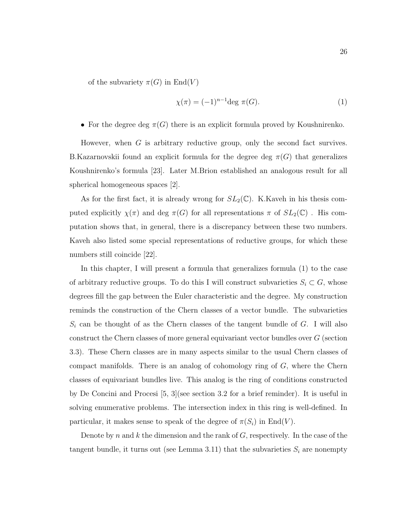of the subvariety  $\pi(G)$  in  $\text{End}(V)$ 

$$
\chi(\pi) = (-1)^{n-1} \deg \pi(G). \tag{1}
$$

• For the degree deg  $\pi(G)$  there is an explicit formula proved by Koushnirenko.

However, when G is arbitrary reductive group, only the second fact survives. B.Kazarnovskii found an explicit formula for the degree deg  $\pi(G)$  that generalizes Koushnirenko's formula [23]. Later M.Brion established an analogous result for all spherical homogeneous spaces [2].

As for the first fact, it is already wrong for  $SL_2(\mathbb{C})$ . K. Kaveh in his thesis computed explicitly  $\chi(\pi)$  and deg  $\pi(G)$  for all representations  $\pi$  of  $SL_2(\mathbb{C})$ . His computation shows that, in general, there is a discrepancy between these two numbers. Kaveh also listed some special representations of reductive groups, for which these numbers still coincide [22].

In this chapter, I will present a formula that generalizes formula (1) to the case of arbitrary reductive groups. To do this I will construct subvarieties  $S_i \subset G$ , whose degrees fill the gap between the Euler characteristic and the degree. My construction reminds the construction of the Chern classes of a vector bundle. The subvarieties  $S_i$  can be thought of as the Chern classes of the tangent bundle of G. I will also construct the Chern classes of more general equivariant vector bundles over G (section 3.3). These Chern classes are in many aspects similar to the usual Chern classes of compact manifolds. There is an analog of cohomology ring of  $G$ , where the Chern classes of equivariant bundles live. This analog is the ring of conditions constructed by De Concini and Procesi [5, 3](see section 3.2 for a brief reminder). It is useful in solving enumerative problems. The intersection index in this ring is well-defined. In particular, it makes sense to speak of the degree of  $\pi(S_i)$  in End(V).

Denote by n and k the dimension and the rank of  $G$ , respectively. In the case of the tangent bundle, it turns out (see Lemma 3.11) that the subvarieties  $S_i$  are nonempty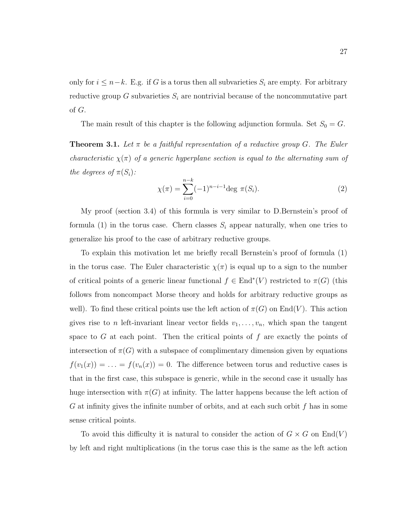only for  $i \leq n-k$ . E.g. if G is a torus then all subvarieties  $S_i$  are empty. For arbitrary reductive group G subvarieties  $S_i$  are nontrivial because of the noncommutative part of G.

The main result of this chapter is the following adjunction formula. Set  $S_0 = G$ .

**Theorem 3.1.** Let  $\pi$  be a faithful representation of a reductive group G. The Euler characteristic  $\chi(\pi)$  of a generic hyperplane section is equal to the alternating sum of the degrees of  $\pi(S_i)$ :

$$
\chi(\pi) = \sum_{i=0}^{n-k} (-1)^{n-i-1} \deg \pi(S_i).
$$
 (2)

My proof (section 3.4) of this formula is very similar to D.Bernstein's proof of formula (1) in the torus case. Chern classes  $S_i$  appear naturally, when one tries to generalize his proof to the case of arbitrary reductive groups.

To explain this motivation let me briefly recall Bernstein's proof of formula (1) in the torus case. The Euler characteristic  $\chi(\pi)$  is equal up to a sign to the number of critical points of a generic linear functional  $f \in \text{End}^*(V)$  restricted to  $\pi(G)$  (this follows from noncompact Morse theory and holds for arbitrary reductive groups as well). To find these critical points use the left action of  $\pi(G)$  on End(V). This action gives rise to *n* left-invariant linear vector fields  $v_1, \ldots, v_n$ , which span the tangent space to  $G$  at each point. Then the critical points of  $f$  are exactly the points of intersection of  $\pi(G)$  with a subspace of complimentary dimension given by equations  $f(v_1(x)) = \ldots = f(v_n(x)) = 0$ . The difference between torus and reductive cases is that in the first case, this subspace is generic, while in the second case it usually has huge intersection with  $\pi(G)$  at infinity. The latter happens because the left action of G at infinity gives the infinite number of orbits, and at each such orbit  $f$  has in some sense critical points.

To avoid this difficulty it is natural to consider the action of  $G \times G$  on  $End(V)$ by left and right multiplications (in the torus case this is the same as the left action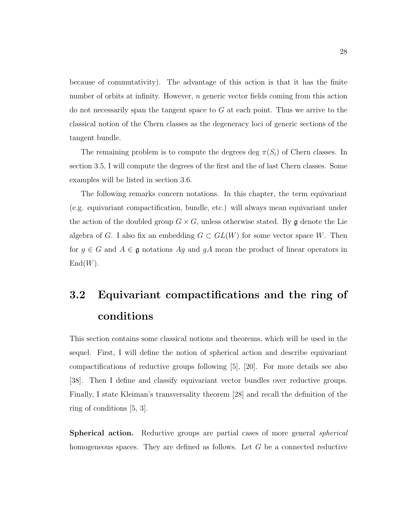because of commutativity). The advantage of this action is that it has the finite number of orbits at infinity. However,  $n$  generic vector fields coming from this action do not necessarily span the tangent space to  $G$  at each point. Thus we arrive to the classical notion of the Chern classes as the degeneracy loci of generic sections of the tangent bundle.

The remaining problem is to compute the degrees deg  $\pi(S_i)$  of Chern classes. In section 3.5, I will compute the degrees of the first and the of last Chern classes. Some examples will be listed in section 3.6.

The following remarks concern notations. In this chapter, the term equivariant (e.g. equivariant compactification, bundle, etc.) will always mean equivariant under the action of the doubled group  $G \times G$ , unless otherwise stated. By g denote the Lie algebra of G. I also fix an embedding  $G \subset GL(W)$  for some vector space W. Then for  $g \in G$  and  $A \in \mathfrak{g}$  notations  $Ag$  and  $gA$  mean the product of linear operators in  $End(W)$ .

# 3.2 Equivariant compactifications and the ring of conditions

This section contains some classical notions and theorems, which will be used in the sequel. First, I will define the notion of spherical action and describe equivariant compactifications of reductive groups following [5], [20]. For more details see also [38]. Then I define and classify equivariant vector bundles over reductive groups. Finally, I state Kleiman's transversality theorem [28] and recall the definition of the ring of conditions [5, 3].

**Spherical action.** Reductive groups are partial cases of more general *spherical* homogeneous spaces. They are defined as follows. Let G be a connected reductive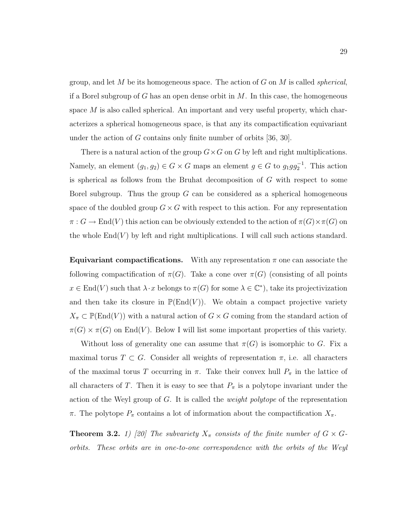group, and let M be its homogeneous space. The action of  $G$  on M is called *spherical*, if a Borel subgroup of G has an open dense orbit in  $M$ . In this case, the homogeneous space  $M$  is also called spherical. An important and very useful property, which characterizes a spherical homogeneous space, is that any its compactification equivariant under the action of G contains only finite number of orbits [36, 30].

There is a natural action of the group  $G\times G$  on G by left and right multiplications. Namely, an element  $(g_1, g_2) \in G \times G$  maps an element  $g \in G$  to  $g_1gg_2^{-1}$ . This action is spherical as follows from the Bruhat decomposition of G with respect to some Borel subgroup. Thus the group  $G$  can be considered as a spherical homogeneous space of the doubled group  $G \times G$  with respect to this action. For any representation  $\pi: G \to \text{End}(V)$  this action can be obviously extended to the action of  $\pi(G) \times \pi(G)$  on the whole  $End(V)$  by left and right multiplications. I will call such actions standard.

**Equivariant compactifications.** With any representation  $\pi$  one can associate the following compactification of  $\pi(G)$ . Take a cone over  $\pi(G)$  (consisting of all points  $x \in \text{End}(V)$  such that  $\lambda \cdot x$  belongs to  $\pi(G)$  for some  $\lambda \in \mathbb{C}^*$ , take its projectivization and then take its closure in  $\mathbb{P}(\text{End}(V))$ . We obtain a compact projective variety  $X_{\pi} \subset \mathbb{P}(\text{End}(V))$  with a natural action of  $G \times G$  coming from the standard action of  $\pi(G) \times \pi(G)$  on End(V). Below I will list some important properties of this variety.

Without loss of generality one can assume that  $\pi(G)$  is isomorphic to G. Fix a maximal torus  $T \subset G$ . Consider all weights of representation  $\pi$ , i.e. all characters of the maximal torus T occurring in  $\pi$ . Take their convex hull  $P_{\pi}$  in the lattice of all characters of T. Then it is easy to see that  $P_{\pi}$  is a polytope invariant under the action of the Weyl group of G. It is called the *weight polytope* of the representation  $\pi$ . The polytope  $P_{\pi}$  contains a lot of information about the compactification  $X_{\pi}$ .

**Theorem 3.2.** 1) [20] The subvariety  $X_\pi$  consists of the finite number of  $G \times G$ orbits. These orbits are in one-to-one correspondence with the orbits of the Weyl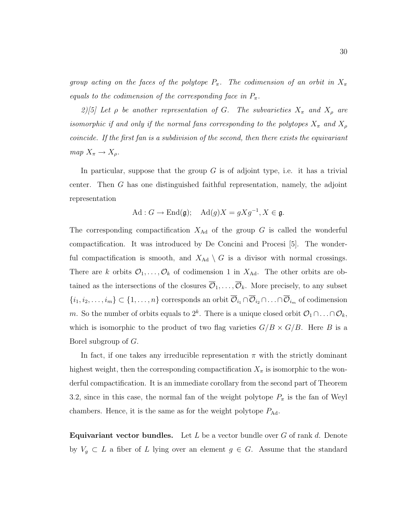group acting on the faces of the polytope  $P_{\pi}$ . The codimension of an orbit in  $X_{\pi}$ equals to the codimension of the corresponding face in  $P_{\pi}$ .

2)[5] Let  $\rho$  be another representation of G. The subvarieties  $X_{\pi}$  and  $X_{\rho}$  are isomorphic if and only if the normal fans corresponding to the polytopes  $X_{\pi}$  and  $X_{\rho}$ coincide. If the first fan is a subdivision of the second, then there exists the equivariant  $map\ X_\pi \rightarrow X_\rho.$ 

In particular, suppose that the group  $G$  is of adjoint type, i.e. it has a trivial center. Then G has one distinguished faithful representation, namely, the adjoint representation

$$
\text{Ad}: G \to \text{End}(\mathfrak{g}); \quad \text{Ad}(g)X = gXg^{-1}, X \in \mathfrak{g}.
$$

The corresponding compactification  $X_{\text{Ad}}$  of the group G is called the wonderful compactification. It was introduced by De Concini and Procesi [5]. The wonderful compactification is smooth, and  $X_{\text{Ad}} \setminus G$  is a divisor with normal crossings. There are k orbits  $\mathcal{O}_1, \ldots, \mathcal{O}_k$  of codimension 1 in  $X_{\text{Ad}}$ . The other orbits are obtained as the intersections of the closures  $\overline{\mathcal{O}}_1, \ldots, \overline{\mathcal{O}}_k$ . More precisely, to any subset  $\{i_1, i_2, \ldots, i_m\} \subset \{1, \ldots, n\}$  corresponds an orbit  $\overline{\mathcal{O}}_{i_1} \cap \overline{\mathcal{O}}_{i_2} \cap \ldots \cap \overline{\mathcal{O}}_{i_m}$  of codimension m. So the number of orbits equals to  $2^k$ . There is a unique closed orbit  $\mathcal{O}_1 \cap \ldots \cap \mathcal{O}_k$ , which is isomorphic to the product of two flag varieties  $G/B \times G/B$ . Here B is a Borel subgroup of G.

In fact, if one takes any irreducible representation  $\pi$  with the strictly dominant highest weight, then the corresponding compactification  $X_{\pi}$  is isomorphic to the wonderful compactification. It is an immediate corollary from the second part of Theorem 3.2, since in this case, the normal fan of the weight polytope  $P_{\pi}$  is the fan of Weyl chambers. Hence, it is the same as for the weight polytope  $P_{\text{Ad}}$ .

**Equivariant vector bundles.** Let L be a vector bundle over G of rank d. Denote by  $V_g \subset L$  a fiber of L lying over an element  $g \in G$ . Assume that the standard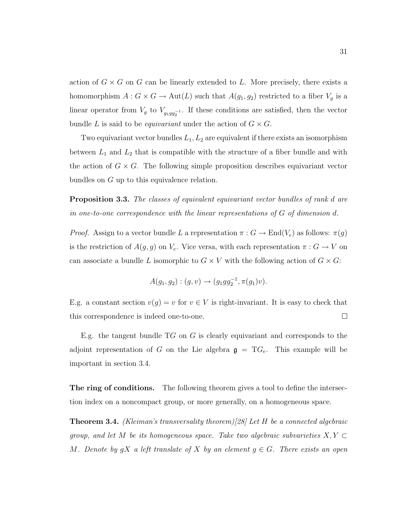action of  $G \times G$  on G can be linearly extended to L. More precisely, there exists a homomorphism  $A: G \times G \to \text{Aut}(L)$  such that  $A(g_1, g_2)$  restricted to a fiber  $V_g$  is a linear operator from  $V_g$  to  $V_{g_1g_2g_2^{-1}}$ . If these conditions are satisfied, then the vector bundle L is said to be *equivariant* under the action of  $G \times G$ .

Two equivariant vector bundles  $L_1, L_2$  are equivalent if there exists an isomorphism between  $L_1$  and  $L_2$  that is compatible with the structure of a fiber bundle and with the action of  $G \times G$ . The following simple proposition describes equivariant vector bundles on G up to this equivalence relation.

**Proposition 3.3.** The classes of equivalent equivariant vector bundles of rank d are in one-to-one correspondence with the linear representations of  $G$  of dimension d.

*Proof.* Assign to a vector bundle L a representation  $\pi: G \to \text{End}(V_e)$  as follows:  $\pi(g)$ is the restriction of  $A(g, g)$  on  $V_e$ . Vice versa, with each representation  $\pi : G \to V$  on can associate a bundle L isomorphic to  $G \times V$  with the following action of  $G \times G$ :

$$
A(g_1, g_2) : (g, v) \to (g_1 g g_2^{-1}, \pi(g_1)v).
$$

E.g. a constant section  $v(g) = v$  for  $v \in V$  is right-invariant. It is easy to check that this correspondence is indeed one-to-one.  $\Box$ 

E.g. the tangent bundle  $TG$  on  $G$  is clearly equivariant and corresponds to the adjoint representation of G on the Lie algebra  $g = T G_e$ . This example will be important in section 3.4.

The ring of conditions. The following theorem gives a tool to define the intersection index on a noncompact group, or more generally, on a homogeneous space.

**Theorem 3.4.** (Kleiman's transversality theorem)[28] Let H be a connected algebraic group, and let M be its homogeneous space. Take two algebraic subvarieties  $X, Y \subset$ M. Denote by  $gX$  a left translate of X by an element  $g \in G$ . There exists an open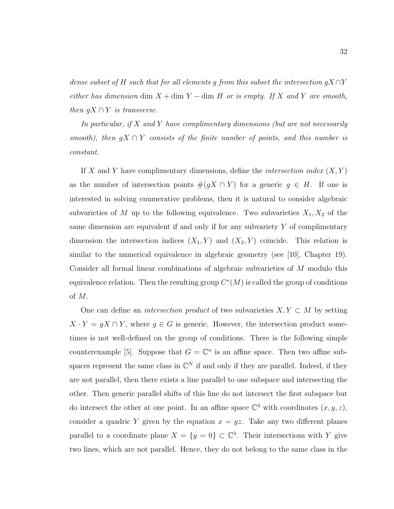dense subset of H such that for all elements g from this subset the intersection  $gX \cap Y$ either has dimension dim  $X +$ dim Y – dim H or is empty. If X and Y are smooth, then  $gX \cap Y$  is transverse.

In particular, if  $X$  and  $Y$  have complimentary dimensions (but are not necessarily smooth), then  $qX \cap Y$  consists of the finite number of points, and this number is constant.

If X and Y have complimentary dimensions, define the *intersection index*  $(X, Y)$ as the number of intersection points  $\#(gX \cap Y)$  for a generic  $g \in H$ . If one is interested in solving enumerative problems, then it is natural to consider algebraic subvarieties of M up to the following equivalence. Two subvarieties  $X_1, X_2$  of the same dimension are equivalent if and only if for any subvariety  $Y$  of complimentary dimension the intersection indices  $(X_1, Y)$  and  $(X_2, Y)$  coincide. This relation is similar to the numerical equivalence in algebraic geometry (see [10], Chapter 19). Consider all formal linear combinations of algebraic subvarieties of M modulo this equivalence relation. Then the resulting group  $C<sup>*</sup>(M)$  is called the group of conditions of M.

One can define an *intersection product* of two subvarieties  $X, Y \subset M$  by setting  $X \cdot Y = gX \cap Y$ , where  $g \in G$  is generic. However, the intersection product sometimes is not well-defined on the group of conditions. There is the following simple counterexample [5]. Suppose that  $G = \mathbb{C}^n$  is an affine space. Then two affine subspaces represent the same class in  $\mathbb{C}^N$  if and only if they are parallel. Indeed, if they are not parallel, then there exists a line parallel to one subspace and intersecting the other. Then generic parallel shifts of this line do not intersect the first subspace but do intersect the other at one point. In an affine space  $\mathbb{C}^3$  with coordinates  $(x, y, z)$ , consider a quadric Y given by the equation  $x = yz$ . Take any two different planes parallel to a coordinate plane  $X = \{y = 0\} \subset \mathbb{C}^3$ . Their intersections with Y give two lines, which are not parallel. Hence, they do not belong to the same class in the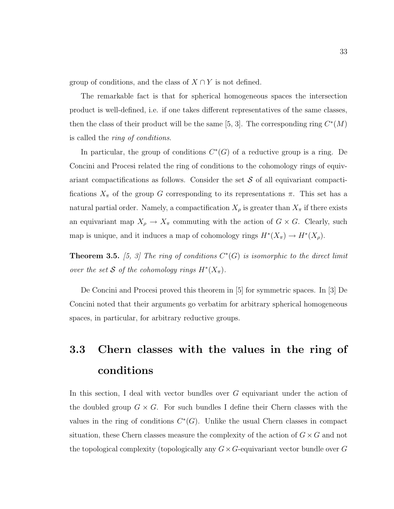group of conditions, and the class of  $X \cap Y$  is not defined.

The remarkable fact is that for spherical homogeneous spaces the intersection product is well-defined, i.e. if one takes different representatives of the same classes, then the class of their product will be the same [5, 3]. The corresponding ring  $C^*(M)$ is called the ring of conditions.

In particular, the group of conditions  $C^*(G)$  of a reductive group is a ring. De Concini and Procesi related the ring of conditions to the cohomology rings of equivariant compactifications as follows. Consider the set  $S$  of all equivariant compactifications  $X_{\pi}$  of the group G corresponding to its representations  $\pi$ . This set has a natural partial order. Namely, a compactification  $X_{\rho}$  is greater than  $X_{\pi}$  if there exists an equivariant map  $X_{\rho} \to X_{\pi}$  commuting with the action of  $G \times G$ . Clearly, such map is unique, and it induces a map of cohomology rings  $H^*(X_\pi) \to H^*(X_\rho)$ .

**Theorem 3.5.** [5, 3] The ring of conditions  $C^*(G)$  is isomorphic to the direct limit over the set S of the cohomology rings  $H^*(X_\pi)$ .

De Concini and Procesi proved this theorem in [5] for symmetric spaces. In [3] De Concini noted that their arguments go verbatim for arbitrary spherical homogeneous spaces, in particular, for arbitrary reductive groups.

## 3.3 Chern classes with the values in the ring of conditions

In this section, I deal with vector bundles over G equivariant under the action of the doubled group  $G \times G$ . For such bundles I define their Chern classes with the values in the ring of conditions  $C^*(G)$ . Unlike the usual Chern classes in compact situation, these Chern classes measure the complexity of the action of  $G \times G$  and not the topological complexity (topologically any  $G \times G$ -equivariant vector bundle over G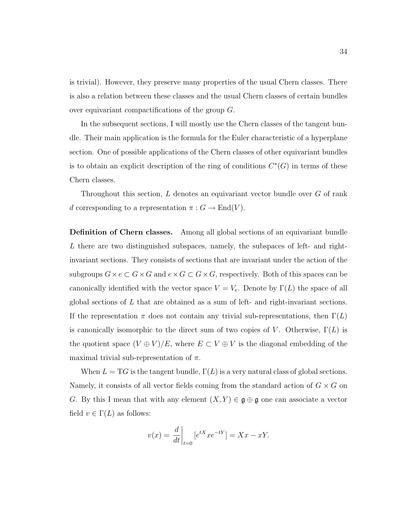is trivial). However, they preserve many properties of the usual Chern classes. There is also a relation between these classes and the usual Chern classes of certain bundles over equivariant compactifications of the group G.

In the subsequent sections, I will mostly use the Chern classes of the tangent bundle. Their main application is the formula for the Euler characteristic of a hyperplane section. One of possible applications of the Chern classes of other equivariant bundles is to obtain an explicit description of the ring of conditions  $C^*(G)$  in terms of these Chern classes.

Throughout this section,  $L$  denotes an equivariant vector bundle over  $G$  of rank d corresponding to a representation  $\pi: G \to \text{End}(V)$ .

Definition of Chern classes. Among all global sections of an equivariant bundle L there are two distinguished subspaces, namely, the subspaces of left- and rightinvariant sections. They consists of sections that are invariant under the action of the subgroups  $G \times e \subset G \times G$  and  $e \times G \subset G \times G$ , respectively. Both of this spaces can be canonically identified with the vector space  $V = V_e$ . Denote by  $\Gamma(L)$  the space of all global sections of  $L$  that are obtained as a sum of left- and right-invariant sections. If the representation  $\pi$  does not contain any trivial sub-representations, then  $\Gamma(L)$ is canonically isomorphic to the direct sum of two copies of V. Otherwise,  $\Gamma(L)$  is the quotient space  $(V \oplus V)/E$ , where  $E \subset V \oplus V$  is the diagonal embedding of the maximal trivial sub-representation of  $\pi$ .

When  $L = T G$  is the tangent bundle,  $\Gamma(L)$  is a very natural class of global sections. Namely, it consists of all vector fields coming from the standard action of  $G \times G$  on G. By this I mean that with any element  $(X, Y) \in \mathfrak{g} \oplus \mathfrak{g}$  one can associate a vector field  $v \in \Gamma(L)$  as follows:

$$
v(x) = \frac{d}{dt}\bigg|_{t=0} [e^{tX} x e^{-tY}] = Xx - xY.
$$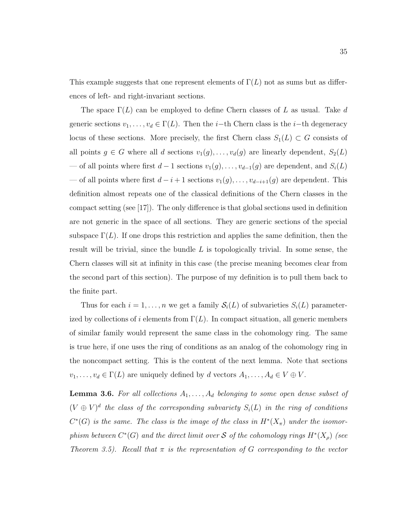This example suggests that one represent elements of  $\Gamma(L)$  not as sums but as differences of left- and right-invariant sections.

The space  $\Gamma(L)$  can be employed to define Chern classes of L as usual. Take d generic sections  $v_1, \ldots, v_d \in \Gamma(L)$ . Then the *i*−th Chern class is the *i*−th degeneracy locus of these sections. More precisely, the first Chern class  $S_1(L) \subset G$  consists of all points  $g \in G$  where all d sections  $v_1(g), \ldots, v_d(g)$  are linearly dependent,  $S_2(L)$ — of all points where first  $d-1$  sections  $v_1(g), \ldots, v_{d-1}(g)$  are dependent, and  $S_i(L)$ — of all points where first  $d-i+1$  sections  $v_1(g), \ldots, v_{d-i+1}(g)$  are dependent. This definition almost repeats one of the classical definitions of the Chern classes in the compact setting (see [17]). The only difference is that global sections used in definition are not generic in the space of all sections. They are generic sections of the special subspace  $\Gamma(L)$ . If one drops this restriction and applies the same definition, then the result will be trivial, since the bundle  $L$  is topologically trivial. In some sense, the Chern classes will sit at infinity in this case (the precise meaning becomes clear from the second part of this section). The purpose of my definition is to pull them back to the finite part.

Thus for each  $i = 1, ..., n$  we get a family  $S_i(L)$  of subvarieties  $S_i(L)$  parameterized by collections of i elements from  $\Gamma(L)$ . In compact situation, all generic members of similar family would represent the same class in the cohomology ring. The same is true here, if one uses the ring of conditions as an analog of the cohomology ring in the noncompact setting. This is the content of the next lemma. Note that sections  $v_1, \ldots, v_d \in \Gamma(L)$  are uniquely defined by d vectors  $A_1, \ldots, A_d \in V \oplus V$ .

**Lemma 3.6.** For all collections  $A_1, \ldots, A_d$  belonging to some open dense subset of  $(V \oplus V)^d$  the class of the corresponding subvariety  $S_i(L)$  in the ring of conditions  $C^*(G)$  is the same. The class is the image of the class in  $H^*(X_{\pi})$  under the isomorphism between  $C^*(G)$  and the direct limit over S of the cohomology rings  $H^*(X_\rho)$  (see Theorem 3.5). Recall that  $\pi$  is the representation of G corresponding to the vector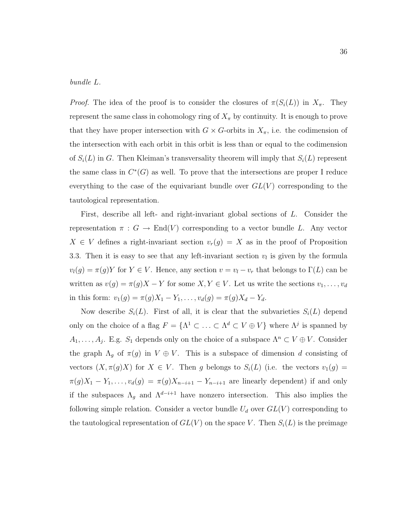#### bundle L.

*Proof.* The idea of the proof is to consider the closures of  $\pi(S_i(L))$  in  $X_{\pi}$ . They represent the same class in cohomology ring of  $X_\pi$  by continuity. It is enough to prove that they have proper intersection with  $G \times G$ -orbits in  $X_{\pi}$ , i.e. the codimension of the intersection with each orbit in this orbit is less than or equal to the codimension of  $S_i(L)$  in G. Then Kleiman's transversality theorem will imply that  $S_i(L)$  represent the same class in  $C<sup>*</sup>(G)$  as well. To prove that the intersections are proper I reduce everything to the case of the equivariant bundle over  $GL(V)$  corresponding to the tautological representation.

First, describe all left- and right-invariant global sections of L. Consider the representation  $\pi : G \to End(V)$  corresponding to a vector bundle L. Any vector  $X \in V$  defines a right-invariant section  $v_r(g) = X$  as in the proof of Proposition 3.3. Then it is easy to see that any left-invariant section  $v_l$  is given by the formula  $v_l(g) = \pi(g)Y$  for  $Y \in V$ . Hence, any section  $v = v_l - v_r$  that belongs to  $\Gamma(L)$  can be written as  $v(g) = \pi(g)X - Y$  for some  $X, Y \in V$ . Let us write the sections  $v_1, \ldots, v_d$ in this form:  $v_1(g) = \pi(g)X_1 - Y_1, \ldots, v_d(g) = \pi(g)X_d - Y_d$ .

Now describe  $S_i(L)$ . First of all, it is clear that the subvarieties  $S_i(L)$  depend only on the choice of a flag  $F = \{ \Lambda^1 \subset \ldots \subset \Lambda^d \subset V \oplus V \}$  where  $\Lambda^j$  is spanned by  $A_1, \ldots, A_j$ . E.g.  $S_1$  depends only on the choice of a subspace  $\Lambda^n \subset V \oplus V$ . Consider the graph  $\Lambda_g$  of  $\pi(g)$  in  $V \oplus V$ . This is a subspace of dimension d consisting of vectors  $(X, \pi(g)X)$  for  $X \in V$ . Then g belongs to  $S_i(L)$  (i.e. the vectors  $v_1(g)$  =  $\pi(g)X_1 - Y_1, \ldots, v_d(g) = \pi(g)X_{n-i+1} - Y_{n-i+1}$  are linearly dependent) if and only if the subspaces  $\Lambda_g$  and  $\Lambda^{d-i+1}$  have nonzero intersection. This also implies the following simple relation. Consider a vector bundle  $U_d$  over  $GL(V)$  corresponding to the tautological representation of  $GL(V)$  on the space V. Then  $S_i(L)$  is the preimage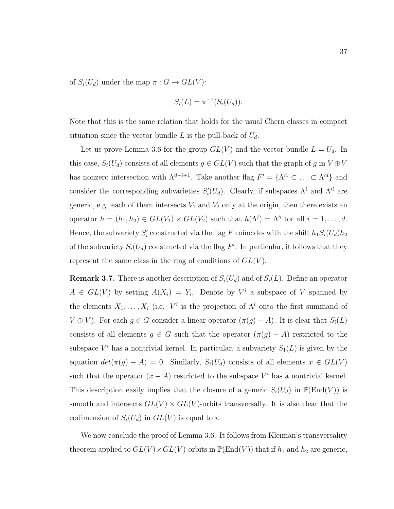of  $S_i(U_d)$  under the map  $\pi: G \to GL(V)$ :

$$
S_i(L) = \pi^{-1}(S_i(U_d)).
$$

Note that this is the same relation that holds for the usual Chern classes in compact situation since the vector bundle L is the pull-back of  $U_d$ .

Let us prove Lemma 3.6 for the group  $GL(V)$  and the vector bundle  $L = U_d$ . In this case,  $S_i(U_d)$  consists of all elements  $g \in GL(V)$  such that the graph of g in  $V \oplus V$ has nonzero intersection with  $\Lambda^{d-i+1}$ . Take another flag  $F' = {\Lambda'^1 \subset \ldots \subset \Lambda'^d}$  and consider the corresponding subvarieties  $S_i'(U_d)$ . Clearly, if subspaces  $\Lambda^i$  and  $\Lambda'^i$  are generic, e.g. each of them intersects  $V_1$  and  $V_2$  only at the origin, then there exists an operator  $h = (h_1, h_2) \in GL(V_1) \times GL(V_2)$  such that  $h(\Lambda^i) = \Lambda^{i}$  for all  $i = 1, \ldots, d$ . Hence, the subvariety  $S_i'$  constructed via the flag F coincides with the shift  $h_1S_i(U_d)h_2$ of the subvariety  $S_i(U_d)$  constructed via the flag F'. In particular, it follows that they represent the same class in the ring of conditions of  $GL(V)$ .

**Remark 3.7.** There is another description of  $S_i(U_d)$  and of  $S_i(L)$ . Define an operator  $A \in GL(V)$  by setting  $A(X_i) = Y_i$ . Denote by  $V^i$  a subspace of V spanned by the elements  $X_1, \ldots, X_i$  (i.e.  $V^i$  is the projection of  $\Lambda^i$  onto the first summand of  $V \oplus V$ ). For each  $g \in G$  consider a linear operator  $(\pi(g) - A)$ . It is clear that  $S_i(L)$ consists of all elements  $g \in G$  such that the operator  $(\pi(g) - A)$  restricted to the subspace  $V^i$  has a nontrivial kernel. In particular, a subvariety  $S_1(L)$  is given by the equation  $det(\pi(g) - A) = 0$ . Similarly,  $S_i(U_d)$  consists of all elements  $x \in GL(V)$ such that the operator  $(x - A)$  restricted to the subspace  $V<sup>i</sup>$  has a nontrivial kernel. This description easily implies that the closure of a generic  $S_i(U_d)$  in  $\mathbb{P}(\text{End}(V))$  is smooth and intersects  $GL(V) \times GL(V)$ -orbits transversally. It is also clear that the codimension of  $S_i(U_d)$  in  $GL(V)$  is equal to i.

We now conclude the proof of Lemma 3.6. It follows from Kleiman's transversality theorem applied to  $GL(V) \times GL(V)$ -orbits in  $\mathbb{P}(\text{End}(V))$  that if  $h_1$  and  $h_2$  are generic,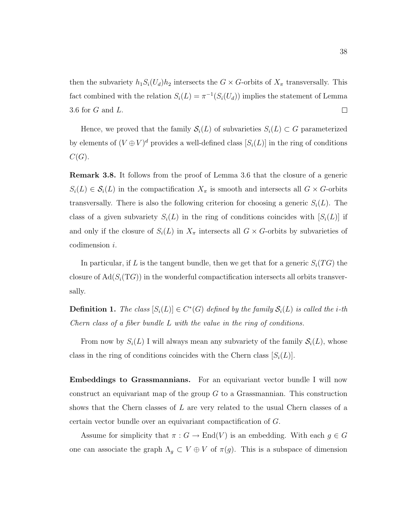then the subvariety  $h_1S_i(U_d)h_2$  intersects the  $G \times G$ -orbits of  $X_\pi$  transversally. This fact combined with the relation  $S_i(L) = \pi^{-1}(S_i(U_d))$  implies the statement of Lemma 3.6 for G and L.  $\Box$ 

Hence, we proved that the family  $\mathcal{S}_i(L)$  of subvarieties  $S_i(L) \subset G$  parameterized by elements of  $(V \oplus V)^d$  provides a well-defined class  $[S_i(L)]$  in the ring of conditions  $C(G).$ 

Remark 3.8. It follows from the proof of Lemma 3.6 that the closure of a generic  $S_i(L) \in \mathcal{S}_i(L)$  in the compactification  $X_\pi$  is smooth and intersects all  $G \times G$ -orbits transversally. There is also the following criterion for choosing a generic  $S_i(L)$ . The class of a given subvariety  $S_i(L)$  in the ring of conditions coincides with  $[S_i(L)]$  if and only if the closure of  $S_i(L)$  in  $X_\pi$  intersects all  $G \times G$ -orbits by subvarieties of codimension i.

In particular, if L is the tangent bundle, then we get that for a generic  $S_i(TG)$  the closure of  $\text{Ad}(S_i(TG))$  in the wonderful compactification intersects all orbits transversally.

**Definition 1.** The class  $[S_i(L)] \in C^*(G)$  defined by the family  $S_i(L)$  is called the *i*-th Chern class of a fiber bundle L with the value in the ring of conditions.

From now by  $S_i(L)$  I will always mean any subvariety of the family  $S_i(L)$ , whose class in the ring of conditions coincides with the Chern class  $|S_i(L)|$ .

Embeddings to Grassmannians. For an equivariant vector bundle I will now construct an equivariant map of the group  $G$  to a Grassmannian. This construction shows that the Chern classes of L are very related to the usual Chern classes of a certain vector bundle over an equivariant compactification of G.

Assume for simplicity that  $\pi : G \to \text{End}(V)$  is an embedding. With each  $g \in G$ one can associate the graph  $\Lambda_g \subset V \oplus V$  of  $\pi(g)$ . This is a subspace of dimension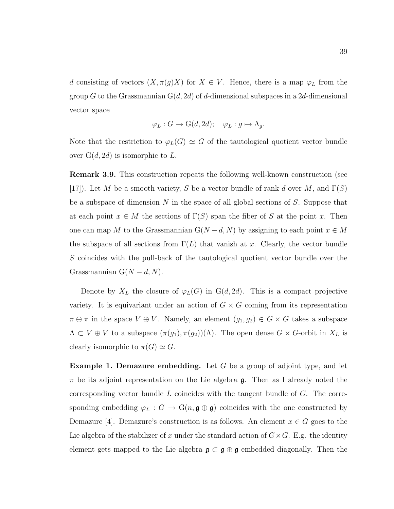d consisting of vectors  $(X, \pi(g)X)$  for  $X \in V$ . Hence, there is a map  $\varphi_L$  from the group G to the Grassmannian  $G(d, 2d)$  of d-dimensional subspaces in a 2d-dimensional vector space

$$
\varphi_L: G \to \mathrm{G}(d, 2d); \quad \varphi_L: g \mapsto \Lambda_g.
$$

Note that the restriction to  $\varphi_L(G) \simeq G$  of the tautological quotient vector bundle over  $G(d, 2d)$  is isomorphic to L.

Remark 3.9. This construction repeats the following well-known construction (see [17]). Let M be a smooth variety, S be a vector bundle of rank d over M, and  $\Gamma(S)$ be a subspace of dimension N in the space of all global sections of  $S$ . Suppose that at each point  $x \in M$  the sections of  $\Gamma(S)$  span the fiber of S at the point x. Then one can map M to the Grassmannian  $G(N - d, N)$  by assigning to each point  $x \in M$ the subspace of all sections from  $\Gamma(L)$  that vanish at x. Clearly, the vector bundle S coincides with the pull-back of the tautological quotient vector bundle over the Grassmannian  $G(N - d, N)$ .

Denote by  $X_L$  the closure of  $\varphi_L(G)$  in  $G(d, 2d)$ . This is a compact projective variety. It is equivariant under an action of  $G \times G$  coming from its representation  $\pi \oplus \pi$  in the space  $V \oplus V$ . Namely, an element  $(g_1, g_2) \in G \times G$  takes a subspace  $\Lambda \subset V \oplus V$  to a subspace  $(\pi(g_1), \pi(g_2))(\Lambda)$ . The open dense  $G \times G$ -orbit in  $X_L$  is clearly isomorphic to  $\pi(G) \simeq G$ .

**Example 1. Demazure embedding.** Let  $G$  be a group of adjoint type, and let  $\pi$  be its adjoint representation on the Lie algebra g. Then as I already noted the corresponding vector bundle  $L$  coincides with the tangent bundle of  $G$ . The corresponding embedding  $\varphi_L : G \to \mathcal{G}(n, \mathfrak{g} \oplus \mathfrak{g})$  coincides with the one constructed by Demazure [4]. Demazure's construction is as follows. An element  $x \in G$  goes to the Lie algebra of the stabilizer of x under the standard action of  $G \times G$ . E.g. the identity element gets mapped to the Lie algebra  $\mathfrak{g} \subset \mathfrak{g} \oplus \mathfrak{g}$  embedded diagonally. Then the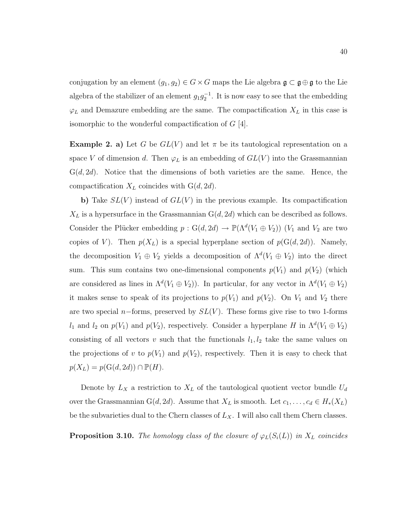conjugation by an element  $(g_1, g_2) \in G \times G$  maps the Lie algebra  $\mathfrak{g} \subset \mathfrak{g} \oplus \mathfrak{g}$  to the Lie algebra of the stabilizer of an element  $g_1g_2^{-1}$ . It is now easy to see that the embedding  $\varphi_L$  and Demazure embedding are the same. The compactification  $X_L$  in this case is isomorphic to the wonderful compactification of  $G$  [4].

**Example 2. a)** Let G be  $GL(V)$  and let  $\pi$  be its tautological representation on a space V of dimension d. Then  $\varphi_L$  is an embedding of  $GL(V)$  into the Grassmannian  $G(d, 2d)$ . Notice that the dimensions of both varieties are the same. Hence, the compactification  $X_L$  coincides with  $G(d, 2d)$ .

b) Take  $SL(V)$  instead of  $GL(V)$  in the previous example. Its compactification  $X_L$  is a hypersurface in the Grassmannian  $G(d, 2d)$  which can be described as follows. Consider the Plücker embedding  $p: G(d, 2d) \to \mathbb{P}(\Lambda^d(V_1 \oplus V_2))$  ( $V_1$  and  $V_2$  are two copies of V). Then  $p(X_L)$  is a special hyperplane section of  $p(G(d, 2d))$ . Namely, the decomposition  $V_1 \oplus V_2$  yields a decomposition of  $\Lambda^d(V_1 \oplus V_2)$  into the direct sum. This sum contains two one-dimensional components  $p(V_1)$  and  $p(V_2)$  (which are considered as lines in  $\Lambda^d(V_1 \oplus V_2)$ ). In particular, for any vector in  $\Lambda^d(V_1 \oplus V_2)$ it makes sense to speak of its projections to  $p(V_1)$  and  $p(V_2)$ . On  $V_1$  and  $V_2$  there are two special n−forms, preserved by  $SL(V)$ . These forms give rise to two 1-forms  $l_1$  and  $l_2$  on  $p(V_1)$  and  $p(V_2)$ , respectively. Consider a hyperplane H in  $\Lambda^d(V_1 \oplus V_2)$ consisting of all vectors v such that the functionals  $l_1, l_2$  take the same values on the projections of v to  $p(V_1)$  and  $p(V_2)$ , respectively. Then it is easy to check that  $p(X_L) = p(G(d, 2d)) \cap \mathbb{P}(H).$ 

Denote by  $L_X$  a restriction to  $X_L$  of the tautological quotient vector bundle  $U_d$ over the Grassmannian G(d, 2d). Assume that  $X_L$  is smooth. Let  $c_1, \ldots, c_d \in H_*(X_L)$ be the subvarieties dual to the Chern classes of  $L_X$ . I will also call them Chern classes.

**Proposition 3.10.** The homology class of the closure of  $\varphi_L(S_i(L))$  in  $X_L$  coincides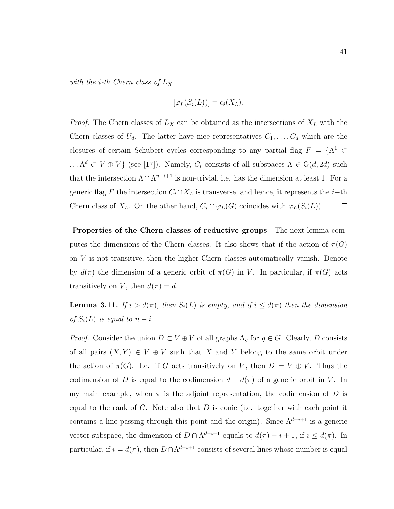with the *i*-th Chern class of  $L_X$ 

$$
[\overline{\varphi_L(S_i(L))}] = c_i(X_L).
$$

*Proof.* The Chern classes of  $L_X$  can be obtained as the intersections of  $X_L$  with the Chern classes of  $U_d$ . The latter have nice representatives  $C_1, \ldots, C_d$  which are the closures of certain Schubert cycles corresponding to any partial flag  $F = \Lambda^1 \subset$  $\ldots \Lambda^d \subset V \oplus V$  (see [17]). Namely,  $C_i$  consists of all subspaces  $\Lambda \in G(d, 2d)$  such that the intersection  $\Lambda \cap \Lambda^{n-i+1}$  is non-trivial, i.e. has the dimension at least 1. For a generic flag F the intersection  $C_i \cap X_L$  is transverse, and hence, it represents the *i*−th Chern class of  $X_L$ . On the other hand,  $C_i \cap \varphi_L(G)$  coincides with  $\varphi_L(S_i(L))$ .  $\Box$ 

Properties of the Chern classes of reductive groups The next lemma computes the dimensions of the Chern classes. It also shows that if the action of  $\pi(G)$ on V is not transitive, then the higher Chern classes automatically vanish. Denote by  $d(\pi)$  the dimension of a generic orbit of  $\pi(G)$  in V. In particular, if  $\pi(G)$  acts transitively on V, then  $d(\pi) = d$ .

**Lemma 3.11.** If  $i > d(\pi)$ , then  $S_i(L)$  is empty, and if  $i \leq d(\pi)$  then the dimension of  $S_i(L)$  is equal to  $n-i$ .

*Proof.* Consider the union  $D \subset V \oplus V$  of all graphs  $\Lambda_g$  for  $g \in G$ . Clearly, D consists of all pairs  $(X, Y) \in V \oplus V$  such that X and Y belong to the same orbit under the action of  $\pi(G)$ . I.e. if G acts transitively on V, then  $D = V \oplus V$ . Thus the codimension of D is equal to the codimension  $d - d(\pi)$  of a generic orbit in V. In my main example, when  $\pi$  is the adjoint representation, the codimension of D is equal to the rank of  $G$ . Note also that  $D$  is conic (i.e. together with each point it contains a line passing through this point and the origin). Since  $\Lambda^{d-i+1}$  is a generic vector subspace, the dimension of  $D \cap \Lambda^{d-i+1}$  equals to  $d(\pi) - i + 1$ , if  $i \leq d(\pi)$ . In particular, if  $i = d(\pi)$ , then  $D \cap \Lambda^{d-i+1}$  consists of several lines whose number is equal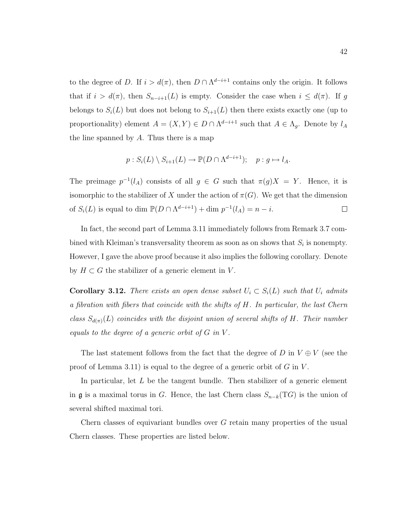to the degree of D. If  $i > d(\pi)$ , then  $D \cap \Lambda^{d-i+1}$  contains only the origin. It follows that if  $i > d(\pi)$ , then  $S_{n-i+1}(L)$  is empty. Consider the case when  $i \leq d(\pi)$ . If g belongs to  $S_i(L)$  but does not belong to  $S_{i+1}(L)$  then there exists exactly one (up to proportionality) element  $A = (X, Y) \in D \cap \Lambda^{d-i+1}$  such that  $A \in \Lambda_g$ . Denote by  $l_A$ the line spanned by  $A$ . Thus there is a map

$$
p: S_i(L) \setminus S_{i+1}(L) \to \mathbb{P}(D \cap \Lambda^{d-i+1}); \quad p: g \mapsto l_A.
$$

The preimage  $p^{-1}(l_A)$  consists of all  $g \in G$  such that  $\pi(g)X = Y$ . Hence, it is isomorphic to the stabilizer of X under the action of  $\pi(G)$ . We get that the dimension of  $S_i(L)$  is equal to dim  $\mathbb{P}(D \cap \Lambda^{d-i+1}) + \dim p^{-1}(l_A) = n - i$ .  $\Box$ 

In fact, the second part of Lemma 3.11 immediately follows from Remark 3.7 combined with Kleiman's transversality theorem as soon as on shows that  $S_i$  is nonempty. However, I gave the above proof because it also implies the following corollary. Denote by  $H \subset G$  the stabilizer of a generic element in V.

**Corollary 3.12.** There exists an open dense subset  $U_i \subset S_i(L)$  such that  $U_i$  admits a fibration with fibers that coincide with the shifts of H. In particular, the last Chern class  $S_{d(\pi)}(L)$  coincides with the disjoint union of several shifts of H. Their number equals to the degree of a generic orbit of  $G$  in  $V$ .

The last statement follows from the fact that the degree of D in  $V \oplus V$  (see the proof of Lemma 3.11) is equal to the degree of a generic orbit of  $G$  in  $V$ .

In particular, let  $L$  be the tangent bundle. Then stabilizer of a generic element in **g** is a maximal torus in G. Hence, the last Chern class  $S_{n-k}(TG)$  is the union of several shifted maximal tori.

Chern classes of equivariant bundles over G retain many properties of the usual Chern classes. These properties are listed below.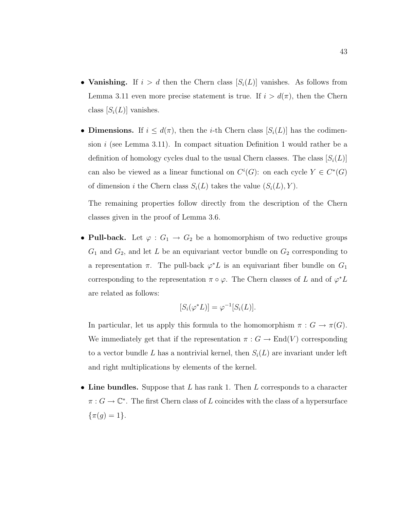- Vanishing. If  $i > d$  then the Chern class  $S_i(L)$  vanishes. As follows from Lemma 3.11 even more precise statement is true. If  $i > d(\pi)$ , then the Chern class  $[S_i(L)]$  vanishes.
- Dimensions. If  $i \leq d(\pi)$ , then the *i*-th Chern class  $[S_i(L)]$  has the codimension i (see Lemma 3.11). In compact situation Definition 1 would rather be a definition of homology cycles dual to the usual Chern classes. The class  $[S_i(L)]$ can also be viewed as a linear functional on  $C^i(G)$ : on each cycle  $Y \in C^*(G)$ of dimension i the Chern class  $S_i(L)$  takes the value  $(S_i(L), Y)$ .

The remaining properties follow directly from the description of the Chern classes given in the proof of Lemma 3.6.

• Pull-back. Let  $\varphi: G_1 \to G_2$  be a homomorphism of two reductive groups  $G_1$  and  $G_2$ , and let L be an equivariant vector bundle on  $G_2$  corresponding to a representation  $\pi$ . The pull-back  $\varphi^* L$  is an equivariant fiber bundle on  $G_1$ corresponding to the representation  $\pi \circ \varphi$ . The Chern classes of L and of  $\varphi^* L$ are related as follows:

$$
[S_i(\varphi^*L)] = \varphi^{-1}[S_i(L)].
$$

In particular, let us apply this formula to the homomorphism  $\pi : G \to \pi(G)$ . We immediately get that if the representation  $\pi : G \to \text{End}(V)$  corresponding to a vector bundle L has a nontrivial kernel, then  $S_i(L)$  are invariant under left and right multiplications by elements of the kernel.

• Line bundles. Suppose that  $L$  has rank 1. Then  $L$  corresponds to a character  $\pi: G \to \mathbb{C}^*$ . The first Chern class of L coincides with the class of a hypersurface  $\{\pi(g) = 1\}.$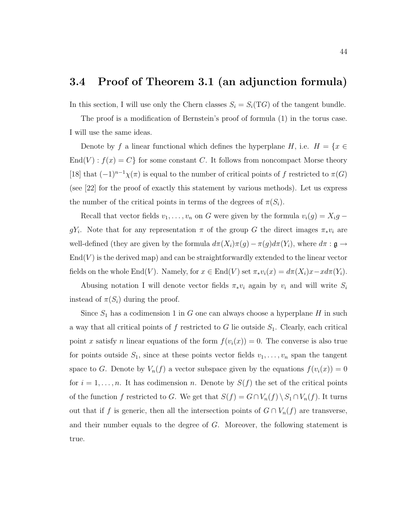### 3.4 Proof of Theorem 3.1 (an adjunction formula)

In this section, I will use only the Chern classes  $S_i = S_i(TG)$  of the tangent bundle.

The proof is a modification of Bernstein's proof of formula (1) in the torus case. I will use the same ideas.

Denote by f a linear functional which defines the hyperplane H, i.e.  $H = \{x \in$  $\text{End}(V) : f(x) = C$  for some constant C. It follows from noncompact Morse theory [18] that  $(-1)^{n-1}\chi(\pi)$  is equal to the number of critical points of f restricted to  $\pi(G)$ (see [22] for the proof of exactly this statement by various methods). Let us express the number of the critical points in terms of the degrees of  $\pi(S_i)$ .

Recall that vector fields  $v_1, \ldots, v_n$  on G were given by the formula  $v_i(g) = X_i g$  – gY<sub>i</sub>. Note that for any representation  $\pi$  of the group G the direct images  $\pi_* v_i$  are well-defined (they are given by the formula  $d\pi(X_i)\pi(g) - \pi(g)d\pi(Y_i)$ , where  $d\pi : \mathfrak{g} \to$  $\text{End}(V)$  is the derived map) and can be straightforwardly extended to the linear vector fields on the whole End(V). Namely, for  $x \in$  End(V) set  $\pi_* v_i(x) = d\pi(X_i)x - x d\pi(Y_i)$ .

Abusing notation I will denote vector fields  $\pi_* v_i$  again by  $v_i$  and will write  $S_i$ instead of  $\pi(S_i)$  during the proof.

Since  $S_1$  has a codimension 1 in G one can always choose a hyperplane H in such a way that all critical points of f restricted to G lie outside  $S_1$ . Clearly, each critical point x satisfy n linear equations of the form  $f(v_i(x)) = 0$ . The converse is also true for points outside  $S_1$ , since at these points vector fields  $v_1, \ldots, v_n$  span the tangent space to G. Denote by  $V_n(f)$  a vector subspace given by the equations  $f(v_i(x)) = 0$ for  $i = 1, \ldots, n$ . It has codimension n. Denote by  $S(f)$  the set of the critical points of the function f restricted to G. We get that  $S(f) = G \cap V_n(f) \setminus S_1 \cap V_n(f)$ . It turns out that if f is generic, then all the intersection points of  $G \cap V_n(f)$  are transverse, and their number equals to the degree of G. Moreover, the following statement is true.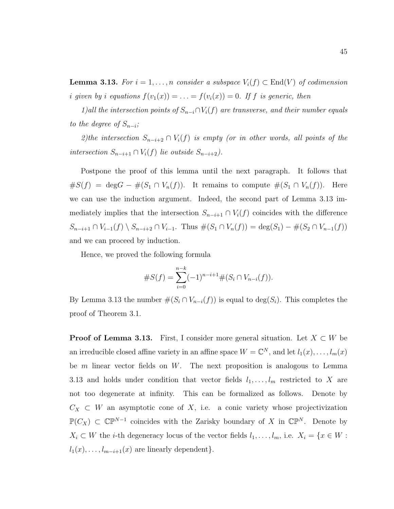**Lemma 3.13.** For  $i = 1, ..., n$  consider a subspace  $V_i(f) \subset End(V)$  of codimension i given by i equations  $f(v_1(x)) = \ldots = f(v_i(x)) = 0$ . If f is generic, then

1)all the intersection points of  $S_{n-i} \cap V_i(f)$  are transverse, and their number equals to the degree of  $S_{n-i}$ ;

2)the intersection  $S_{n-i+2} \cap V_i(f)$  is empty (or in other words, all points of the intersection  $S_{n-i+1} ∩ V_i(f)$  lie outside  $S_{n-i+2}$ .

Postpone the proof of this lemma until the next paragraph. It follows that  $#S(f) = \deg G - \#(S_1 \cap V_n(f)).$  It remains to compute  $\#(S_1 \cap V_n(f)).$  Here we can use the induction argument. Indeed, the second part of Lemma 3.13 immediately implies that the intersection  $S_{n-i+1} \cap V_i(f)$  coincides with the difference  $S_{n-i+1} \cap V_{i-1}(f) \setminus S_{n-i+2} \cap V_{i-1}$ . Thus  $\#(S_1 \cap V_n(f)) = \deg(S_1) - \#(S_2 \cap V_{n-1}(f))$ and we can proceed by induction.

Hence, we proved the following formula

#S(f) = <sup>X</sup><sup>n</sup>−<sup>k</sup> i=0 (−1)<sup>n</sup>−i+1#(S<sup>i</sup> ∩ Vn−i(f)).

By Lemma 3.13 the number  $\#(S_i \cap V_{n-i}(f))$  is equal to  $\deg(S_i)$ . This completes the proof of Theorem 3.1.

**Proof of Lemma 3.13.** First, I consider more general situation. Let  $X \subset W$  be an irreducible closed affine variety in an affine space  $W = \mathbb{C}^N$ , and let  $l_1(x), \ldots, l_m(x)$ be  $m$  linear vector fields on  $W$ . The next proposition is analogous to Lemma 3.13 and holds under condition that vector fields  $l_1, \ldots, l_m$  restricted to X are not too degenerate at infinity. This can be formalized as follows. Denote by  $C_X \subset W$  an asymptotic cone of X, i.e. a conic variety whose projectivization  $\mathbb{P}(C_X) \subset \mathbb{CP}^{N-1}$  coincides with the Zarisky boundary of X in  $\mathbb{CP}^N$ . Denote by  $X_i \subset W$  the *i*-th degeneracy locus of the vector fields  $l_1, \ldots, l_m$ , i.e.  $X_i = \{x \in W :$  $l_1(x), \ldots, l_{m-i+1}(x)$  are linearly dependent}.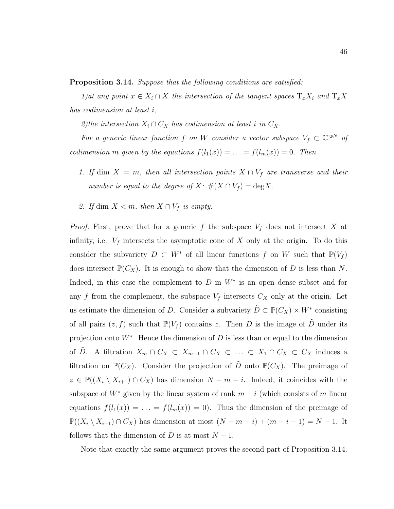Proposition 3.14. Suppose that the following conditions are satisfied:

1)at any point  $x \in X_i \cap X$  the intersection of the tangent spaces  $T_x X_i$  and  $T_x X$ has codimension at least i,

2)the intersection  $X_i \cap C_X$  has codimension at least i in  $C_X$ .

For a generic linear function f on W consider a vector subspace  $V_f \subset \mathbb{CP}^N$  of codimension m given by the equations  $f(l_1(x)) = \ldots = f(l_m(x)) = 0$ . Then

- 1. If dim  $X = m$ , then all intersection points  $X \cap V_f$  are transverse and their number is equal to the degree of  $X: \#(X \cap V_f) = \text{deg}X$ .
- 2. If dim  $X < m$ , then  $X \cap V_f$  is empty.

*Proof.* First, prove that for a generic f the subspace  $V_f$  does not intersect X at infinity, i.e.  $V_f$  intersects the asymptotic cone of X only at the origin. To do this consider the subvariety  $D \subset W^*$  of all linear functions f on W such that  $\mathbb{P}(V_f)$ does intersect  $\mathbb{P}(C_X)$ . It is enough to show that the dimension of D is less than N. Indeed, in this case the complement to  $D$  in  $W^*$  is an open dense subset and for any f from the complement, the subspace  $V_f$  intersects  $C_X$  only at the origin. Let us estimate the dimension of D. Consider a subvariety  $\tilde{D} \subset \mathbb{P}(C_X) \times W^*$  consisting of all pairs  $(z, f)$  such that  $\mathbb{P}(V_f)$  contains z. Then D is the image of  $\tilde{D}$  under its projection onto  $W^*$ . Hence the dimension of D is less than or equal to the dimension of  $\tilde{D}$ . A filtration  $X_m \cap C_X \subset X_{m-1} \cap C_X \subset \ldots \subset X_1 \cap C_X \subset C_X$  induces a filtration on  $\mathbb{P}(C_X)$ . Consider the projection of  $\tilde{D}$  onto  $\mathbb{P}(C_X)$ . The preimage of  $z \in \mathbb{P}((X_i \setminus X_{i+1}) \cap C_X)$  has dimension  $N - m + i$ . Indeed, it coincides with the subspace of  $W^*$  given by the linear system of rank  $m - i$  (which consists of m linear equations  $f(l_1(x)) = \ldots = f(l_m(x)) = 0$ . Thus the dimension of the preimage of  $\mathbb{P}((X_i \setminus X_{i+1}) \cap C_X)$  has dimension at most  $(N - m + i) + (m - i - 1) = N - 1$ . It follows that the dimension of D is at most  $N - 1$ .

Note that exactly the same argument proves the second part of Proposition 3.14.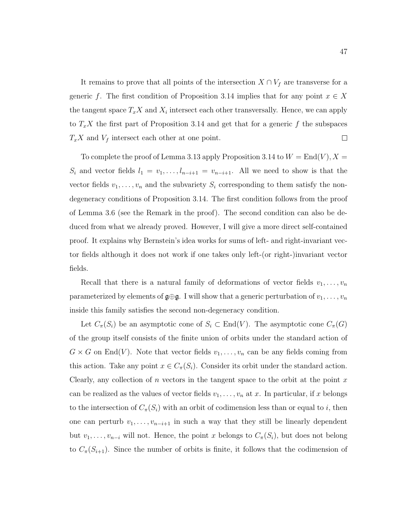It remains to prove that all points of the intersection  $X \cap V_f$  are transverse for a generic f. The first condition of Proposition 3.14 implies that for any point  $x \in X$ the tangent space  $T_x X$  and  $X_i$  intersect each other transversally. Hence, we can apply to  $T_xX$  the first part of Proposition 3.14 and get that for a generic f the subspaces  $T_xX$  and  $V_f$  intersect each other at one point.  $\Box$ 

To complete the proof of Lemma 3.13 apply Proposition 3.14 to  $W = \text{End}(V)$ ,  $X =$  $S_i$  and vector fields  $l_1 = v_1, \ldots, l_{n-i+1} = v_{n-i+1}$ . All we need to show is that the vector fields  $v_1, \ldots, v_n$  and the subvariety  $S_i$  corresponding to them satisfy the nondegeneracy conditions of Proposition 3.14. The first condition follows from the proof of Lemma 3.6 (see the Remark in the proof). The second condition can also be deduced from what we already proved. However, I will give a more direct self-contained proof. It explains why Bernstein's idea works for sums of left- and right-invariant vector fields although it does not work if one takes only left-(or right-)invariant vector fields.

Recall that there is a natural family of deformations of vector fields  $v_1, \ldots, v_n$ parameterized by elements of  $\mathfrak{g} \oplus \mathfrak{g}$ . I will show that a generic perturbation of  $v_1, \ldots, v_n$ inside this family satisfies the second non-degeneracy condition.

Let  $C_{\pi}(S_i)$  be an asymptotic cone of  $S_i \subset \text{End}(V)$ . The asymptotic cone  $C_{\pi}(G)$ of the group itself consists of the finite union of orbits under the standard action of  $G \times G$  on End(V). Note that vector fields  $v_1, \ldots, v_n$  can be any fields coming from this action. Take any point  $x \in C_{\pi}(S_i)$ . Consider its orbit under the standard action. Clearly, any collection of n vectors in the tangent space to the orbit at the point  $x$ can be realized as the values of vector fields  $v_1, \ldots, v_n$  at x. In particular, if x belongs to the intersection of  $C_{\pi}(S_i)$  with an orbit of codimension less than or equal to i, then one can perturb  $v_1, \ldots, v_{n-i+1}$  in such a way that they still be linearly dependent but  $v_1, \ldots, v_{n-i}$  will not. Hence, the point x belongs to  $C_\pi(S_i)$ , but does not belong to  $C_{\pi}(S_{i+1})$ . Since the number of orbits is finite, it follows that the codimension of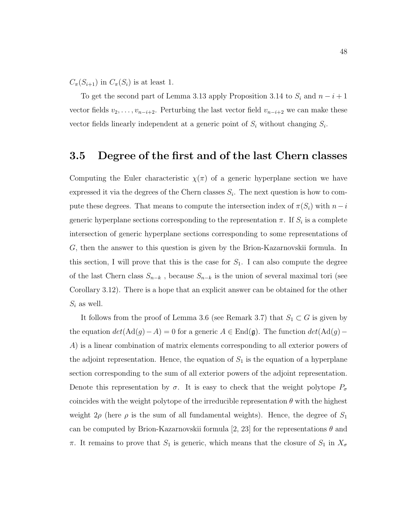$C_{\pi}(S_{i+1})$  in  $C_{\pi}(S_i)$  is at least 1.

To get the second part of Lemma 3.13 apply Proposition 3.14 to  $S_i$  and  $n-i+1$ vector fields  $v_2, \ldots, v_{n-i+2}$ . Perturbing the last vector field  $v_{n-i+2}$  we can make these vector fields linearly independent at a generic point of  $S_i$  without changing  $S_i$ .

#### 3.5 Degree of the first and of the last Chern classes

Computing the Euler characteristic  $\chi(\pi)$  of a generic hyperplane section we have expressed it via the degrees of the Chern classes  $S_i$ . The next question is how to compute these degrees. That means to compute the intersection index of  $\pi(S_i)$  with  $n-i$ generic hyperplane sections corresponding to the representation  $\pi$ . If  $S_i$  is a complete intersection of generic hyperplane sections corresponding to some representations of G, then the answer to this question is given by the Brion-Kazarnovskii formula. In this section, I will prove that this is the case for  $S_1$ . I can also compute the degree of the last Chern class  $S_{n-k}$ , because  $S_{n-k}$  is the union of several maximal tori (see Corollary 3.12). There is a hope that an explicit answer can be obtained for the other  $S_i$  as well.

It follows from the proof of Lemma 3.6 (see Remark 3.7) that  $S_1 \subset G$  is given by the equation  $det(\text{Ad}(g)-A) = 0$  for a generic  $A \in \text{End}(\mathfrak{g})$ . The function  $det(\text{Ad}(g)-A)$ A) is a linear combination of matrix elements corresponding to all exterior powers of the adjoint representation. Hence, the equation of  $S_1$  is the equation of a hyperplane section corresponding to the sum of all exterior powers of the adjoint representation. Denote this representation by  $\sigma$ . It is easy to check that the weight polytope  $P_{\sigma}$ coincides with the weight polytope of the irreducible representation  $\theta$  with the highest weight  $2\rho$  (here  $\rho$  is the sum of all fundamental weights). Hence, the degree of  $S_1$ can be computed by Brion-Kazarnovskii formula [2, 23] for the representations  $\theta$  and  $\pi$ . It remains to prove that  $S_1$  is generic, which means that the closure of  $S_1$  in  $X_{\sigma}$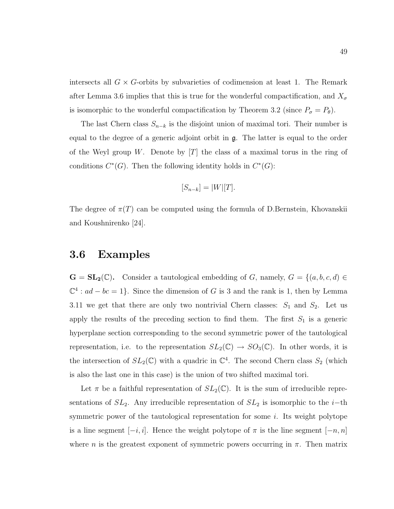intersects all  $G \times G$ -orbits by subvarieties of codimension at least 1. The Remark after Lemma 3.6 implies that this is true for the wonderful compactification, and  $X_{\sigma}$ is isomorphic to the wonderful compactification by Theorem 3.2 (since  $P_{\sigma} = P_{\theta}$ ).

The last Chern class  $S_{n-k}$  is the disjoint union of maximal tori. Their number is equal to the degree of a generic adjoint orbit in  $\mathfrak{g}$ . The latter is equal to the order of the Weyl group W. Denote by  $[T]$  the class of a maximal torus in the ring of conditions  $C^*(G)$ . Then the following identity holds in  $C^*(G)$ :

$$
[S_{n-k}] = |W|[T].
$$

The degree of  $\pi(T)$  can be computed using the formula of D.Bernstein, Khovanskii and Koushnirenko [24].

### 3.6 Examples

 $\mathbf{G} = \mathbf{SL}_2(\mathbb{C})$ . Consider a tautological embedding of G, namely,  $G = \{(a, b, c, d) \in$  $\mathbb{C}^4$  :  $ad - bc = 1$ . Since the dimension of G is 3 and the rank is 1, then by Lemma 3.11 we get that there are only two nontrivial Chern classes:  $S_1$  and  $S_2$ . Let us apply the results of the preceding section to find them. The first  $S_1$  is a generic hyperplane section corresponding to the second symmetric power of the tautological representation, i.e. to the representation  $SL_2(\mathbb{C}) \to SO_3(\mathbb{C})$ . In other words, it is the intersection of  $SL_2(\mathbb{C})$  with a quadric in  $\mathbb{C}^4$ . The second Chern class  $S_2$  (which is also the last one in this case) is the union of two shifted maximal tori.

Let  $\pi$  be a faithful representation of  $SL_2(\mathbb{C})$ . It is the sum of irreducible representations of  $SL_2$ . Any irreducible representation of  $SL_2$  is isomorphic to the *i*−th symmetric power of the tautological representation for some i. Its weight polytope is a line segment  $[-i, i]$ . Hence the weight polytope of  $\pi$  is the line segment  $[-n, n]$ where n is the greatest exponent of symmetric powers occurring in  $\pi$ . Then matrix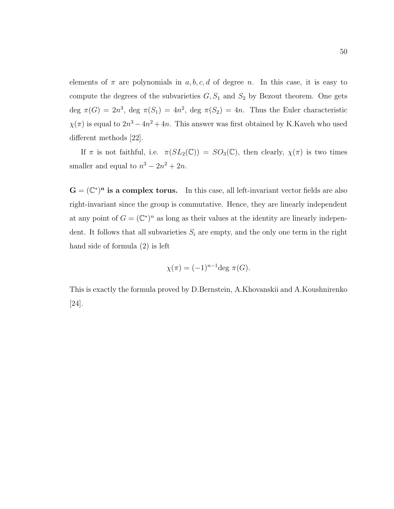elements of  $\pi$  are polynomials in  $a, b, c, d$  of degree n. In this case, it is easy to compute the degrees of the subvarieties  $G, S_1$  and  $S_2$  by Bezout theorem. One gets deg  $\pi(G) = 2n^3$ , deg  $\pi(S_1) = 4n^2$ , deg  $\pi(S_2) = 4n$ . Thus the Euler characteristic  $\chi(\pi)$  is equal to  $2n^3 - 4n^2 + 4n$ . This answer was first obtained by K.Kaveh who used different methods [22].

If  $\pi$  is not faithful, i.e.  $\pi(SL_2(\mathbb{C})) = SO_3(\mathbb{C})$ , then clearly,  $\chi(\pi)$  is two times smaller and equal to  $n^3 - 2n^2 + 2n$ .

 $\mathbf{G} = (\mathbb{C}^*)^n$  is a complex torus. In this case, all left-invariant vector fields are also right-invariant since the group is commutative. Hence, they are linearly independent at any point of  $G = (\mathbb{C}^*)^n$  as long as their values at the identity are linearly independent. It follows that all subvarieties  $S_i$  are empty, and the only one term in the right hand side of formula (2) is left

$$
\chi(\pi) = (-1)^{n-1} \deg \pi(G).
$$

This is exactly the formula proved by D.Bernstein, A.Khovanskii and A.Koushnirenko [24].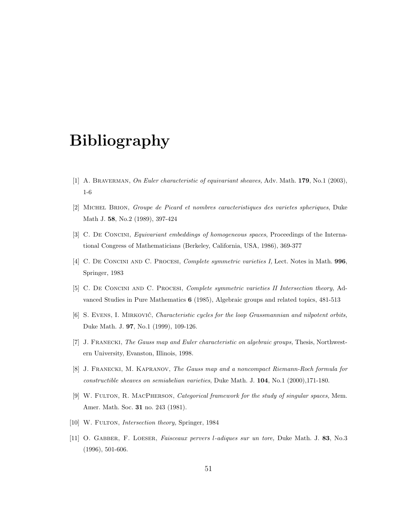## Bibliography

- [1] A. BRAVERMAN, On Euler characteristic of equivariant sheaves, Adv. Math. 179, No.1 (2003), 1-6
- [2] Michel Brion, Groupe de Picard et nombres caracteristiques des varietes spheriques, Duke Math J. 58, No.2 (1989), 397-424
- [3] C. De Concini, Equivariant embeddings of homogeneous spaces, Proceedings of the International Congress of Mathematicians (Berkeley, California, USA, 1986), 369-377
- [4] C. DE CONCINI AND C. PROCESI, Complete symmetric varieties I, Lect. Notes in Math. 996, Springer, 1983
- [5] C. De Concini and C. Procesi, Complete symmetric varieties II Intersection theory, Advanced Studies in Pure Mathematics 6 (1985), Algebraic groups and related topics, 481-513
- [6] S. EVENS, I. MIRKOVIĆ, *Characteristic cycles for the loop Grassmannian and nilpotent orbits*, Duke Math. J. 97, No.1 (1999), 109-126.
- [7] J. FRANECKI, The Gauss map and Euler characteristic on algebraic groups, Thesis, Northwestern University, Evanston, Illinois, 1998.
- [8] J. Franecki, M. Kapranov, The Gauss map and a noncompact Riemann-Roch formula for constructible sheaves on semiabelian varieties, Duke Math. J. 104, No.1 (2000),171-180.
- [9] W. Fulton, R. MacPherson, Categorical framework for the study of singular spaces, Mem. Amer. Math. Soc. 31 no. 243 (1981).
- [10] W. FULTON, *Intersection theory*, Springer, 1984
- [11] O. GABBER, F. LOESER, Faisceaux pervers l-adiques sur un tore, Duke Math. J. 83, No.3 (1996), 501-606.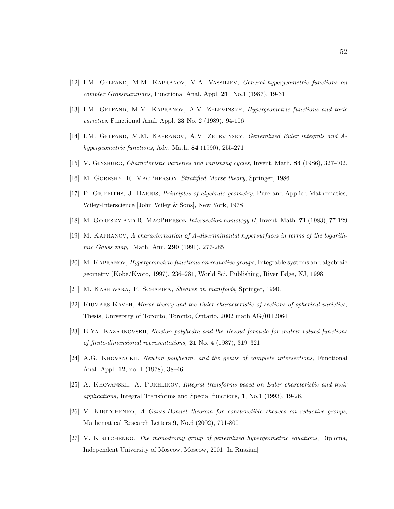- [12] I.M. Gelfand, M.M. Kapranov, V.A. Vassiliev, General hypergeometric functions on complex Grassmannians, Functional Anal. Appl. 21 No.1 (1987), 19-31
- [13] I.M. GELFAND, M.M. KAPRANOV, A.V. ZELEVINSKY, *Hypergeometric functions and toric* varieties, Functional Anal. Appl. 23 No. 2 (1989), 94-106
- [14] I.M. GELFAND, M.M. KAPRANOV, A.V. ZELEVINSKY, Generalized Euler integrals and Ahypergeometric functions, Adv. Math. 84 (1990), 255-271
- [15] V. Ginsburg, Characteristic varieties and vanishing cycles, Invent. Math. 84 (1986), 327-402.
- [16] M. Goresky, R. MacPherson, Stratified Morse theory, Springer, 1986.
- [17] P. GRIFFITHS, J. HARRIS, *Principles of algebraic geometry*, Pure and Applied Mathematics, Wiley-Interscience [John Wiley & Sons], New York, 1978
- [18] M. Goresky and R. MacPherson Intersection homology II, Invent. Math. 71 (1983), 77-129
- [19] M. Kapranov, A characterization of A-discriminantal hypersurfaces in terms of the logarithmic Gauss map, Math. Ann. 290 (1991), 277-285
- [20] M. Kapranov, Hypergeometric functions on reductive groups, Integrable systems and algebraic geometry (Kobe/Kyoto, 1997), 236–281, World Sci. Publishing, River Edge, NJ, 1998.
- [21] M. KASHIWARA, P. SCHAPIRA, Sheaves on manifolds, Springer, 1990.
- [22] KIUMARS KAVEH, Morse theory and the Euler characteristic of sections of spherical varieties, Thesis, University of Toronto, Toronto, Ontario, 2002 math.AG/0112064
- [23] B.Ya. Kazarnovskii, Newton polyhedra and the Bezout formula for matrix-valued functions of finite-dimensional representations, 21 No. 4 (1987), 319–321
- [24] A.G. Khovanckii, Newton polyhedra, and the genus of complete intersections, Functional Anal. Appl. 12, no. 1 (1978), 38–46
- [25] A. Khovanskii, A. Pukhlikov, Integral transforms based on Euler charcteristic and their applications, Integral Transforms and Special functions, 1, No.1 (1993), 19-26.
- [26] V. KIRITCHENKO, A Gauss-Bonnet theorem for constructible sheaves on reductive groups, Mathematical Research Letters 9, No.6 (2002), 791-800
- [27] V. KIRITCHENKO, The monodromy group of generalized hypergeometric equations, Diploma, Independent University of Moscow, Moscow, 2001 [In Russian]